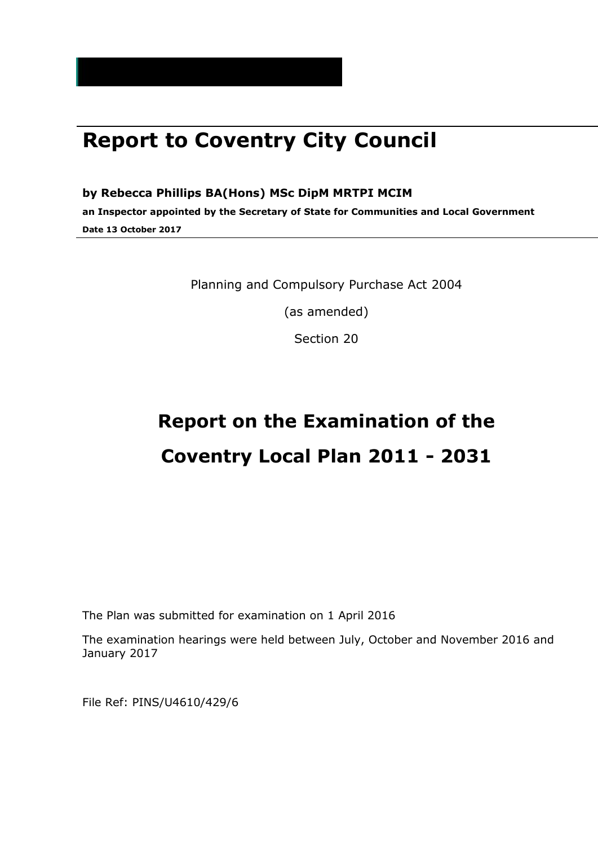## **Report to Coventry City Council**

#### **by Rebecca Phillips BA(Hons) MSc DipM MRTPI MCIM**

**an Inspector appointed by the Secretary of State for Communities and Local Government Date 13 October 2017**

Planning and Compulsory Purchase Act 2004

(as amended)

Section 20

# **Report on the Examination of the Coventry Local Plan 2011 - 2031**

The Plan was submitted for examination on 1 April 2016

The examination hearings were held between July, October and November 2016 and January 2017

File Ref: PINS/U4610/429/6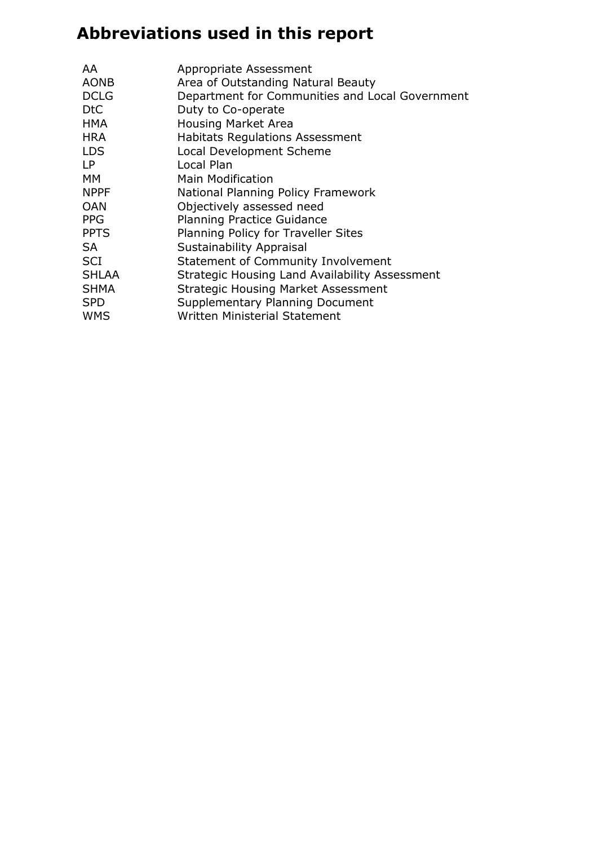## **Abbreviations used in this report**

| AA           | Appropriate Assessment                          |
|--------------|-------------------------------------------------|
| <b>AONB</b>  | Area of Outstanding Natural Beauty              |
| <b>DCLG</b>  | Department for Communities and Local Government |
| <b>DtC</b>   | Duty to Co-operate                              |
| <b>HMA</b>   | <b>Housing Market Area</b>                      |
| <b>HRA</b>   | <b>Habitats Regulations Assessment</b>          |
| <b>LDS</b>   | <b>Local Development Scheme</b>                 |
| I P          | Local Plan                                      |
| <b>MM</b>    | <b>Main Modification</b>                        |
| <b>NPPF</b>  | National Planning Policy Framework              |
| <b>OAN</b>   | Objectively assessed need                       |
| <b>PPG</b>   | <b>Planning Practice Guidance</b>               |
| <b>PPTS</b>  | Planning Policy for Traveller Sites             |
| <b>SA</b>    | <b>Sustainability Appraisal</b>                 |
| <b>SCI</b>   | <b>Statement of Community Involvement</b>       |
| <b>SHLAA</b> | Strategic Housing Land Availability Assessment  |
| <b>SHMA</b>  | <b>Strategic Housing Market Assessment</b>      |
| <b>SPD</b>   | Supplementary Planning Document                 |
| <b>WMS</b>   | <b>Written Ministerial Statement</b>            |
|              |                                                 |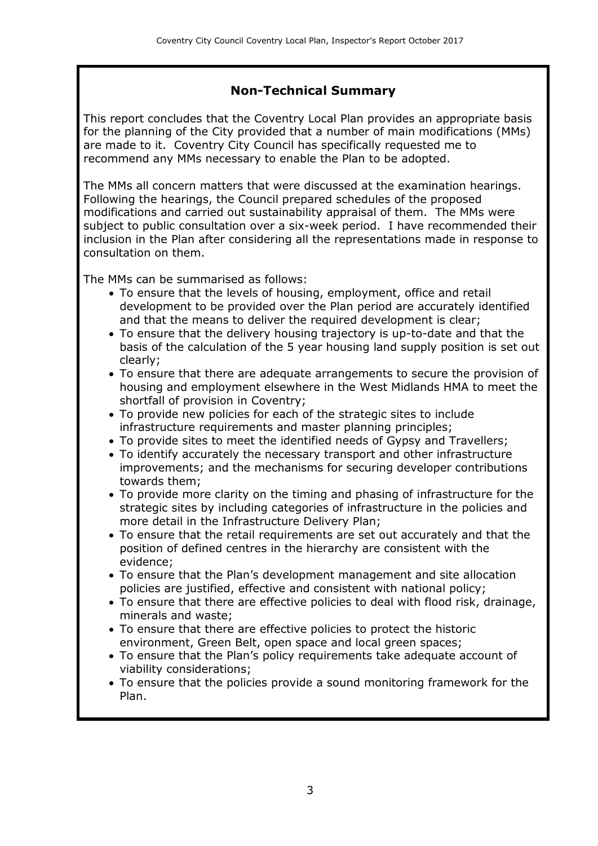#### **Non-Technical Summary**

This report concludes that the Coventry Local Plan provides an appropriate basis for the planning of the City provided that a number of main modifications (MMs) are made to it. Coventry City Council has specifically requested me to recommend any MMs necessary to enable the Plan to be adopted.

The MMs all concern matters that were discussed at the examination hearings. Following the hearings, the Council prepared schedules of the proposed modifications and carried out sustainability appraisal of them. The MMs were subject to public consultation over a six-week period. I have recommended their inclusion in the Plan after considering all the representations made in response to consultation on them.

The MMs can be summarised as follows:

- To ensure that the levels of housing, employment, office and retail development to be provided over the Plan period are accurately identified and that the means to deliver the required development is clear;
- To ensure that the delivery housing trajectory is up-to-date and that the basis of the calculation of the 5 year housing land supply position is set out clearly;
- To ensure that there are adequate arrangements to secure the provision of housing and employment elsewhere in the West Midlands HMA to meet the shortfall of provision in Coventry;
- To provide new policies for each of the strategic sites to include infrastructure requirements and master planning principles;
- To provide sites to meet the identified needs of Gypsy and Travellers;
- To identify accurately the necessary transport and other infrastructure improvements; and the mechanisms for securing developer contributions towards them;
- To provide more clarity on the timing and phasing of infrastructure for the strategic sites by including categories of infrastructure in the policies and more detail in the Infrastructure Delivery Plan;
- To ensure that the retail requirements are set out accurately and that the position of defined centres in the hierarchy are consistent with the evidence;
- To ensure that the Plan's development management and site allocation policies are justified, effective and consistent with national policy;
- To ensure that there are effective policies to deal with flood risk, drainage, minerals and waste;
- To ensure that there are effective policies to protect the historic environment, Green Belt, open space and local green spaces;
- To ensure that the Plan's policy requirements take adequate account of viability considerations;
- To ensure that the policies provide a sound monitoring framework for the Plan.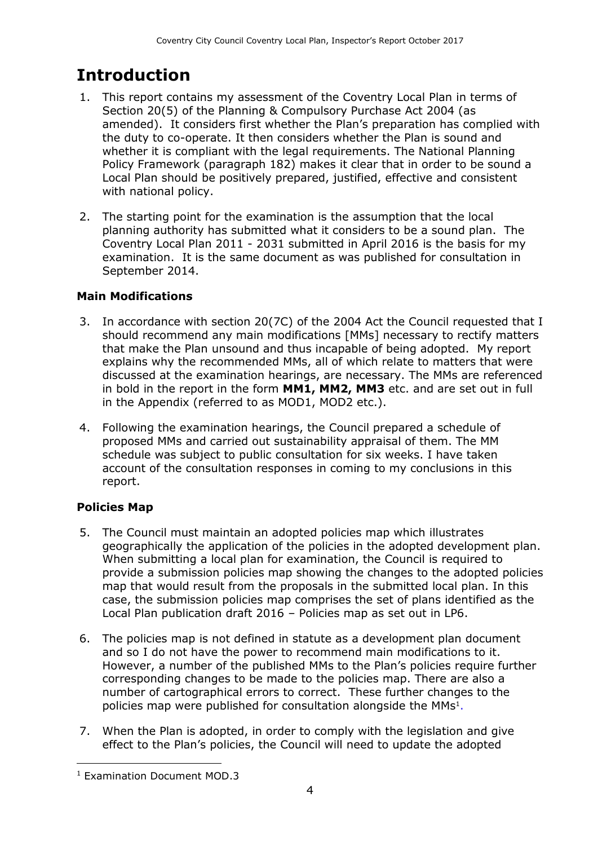## **Introduction**

- 1. This report contains my assessment of the Coventry Local Plan in terms of Section 20(5) of the Planning & Compulsory Purchase Act 2004 (as amended). It considers first whether the Plan's preparation has complied with the duty to co-operate. It then considers whether the Plan is sound and whether it is compliant with the legal requirements. The National Planning Policy Framework (paragraph 182) makes it clear that in order to be sound a Local Plan should be positively prepared, justified, effective and consistent with national policy.
- 2. The starting point for the examination is the assumption that the local planning authority has submitted what it considers to be a sound plan. The Coventry Local Plan 2011 - 2031 submitted in April 2016 is the basis for my examination. It is the same document as was published for consultation in September 2014.

#### **Main Modifications**

- 3. In accordance with section 20(7C) of the 2004 Act the Council requested that I should recommend any main modifications [MMs] necessary to rectify matters that make the Plan unsound and thus incapable of being adopted. My report explains why the recommended MMs, all of which relate to matters that were discussed at the examination hearings, are necessary. The MMs are referenced in bold in the report in the form **MM1, MM2, MM3** etc. and are set out in full in the Appendix (referred to as MOD1, MOD2 etc.).
- 4. Following the examination hearings, the Council prepared a schedule of proposed MMs and carried out sustainability appraisal of them. The MM schedule was subject to public consultation for six weeks. I have taken account of the consultation responses in coming to my conclusions in this report.

#### **Policies Map**

- 5. The Council must maintain an adopted policies map which illustrates geographically the application of the policies in the adopted development plan. When submitting a local plan for examination, the Council is required to provide a submission policies map showing the changes to the adopted policies map that would result from the proposals in the submitted local plan. In this case, the submission policies map comprises the set of plans identified as the Local Plan publication draft 2016 – Policies map as set out in LP6.
- 6. The policies map is not defined in statute as a development plan document and so I do not have the power to recommend main modifications to it. However, a number of the published MMs to the Plan's policies require further corresponding changes to be made to the policies map. There are also a number of cartographical errors to correct. These further changes to the policies map were published for consultation alongside the MMs<sup>1</sup>.
- 7. When the Plan is adopted, in order to comply with the legislation and give effect to the Plan's policies, the Council will need to update the adopted

 $\overline{a}$ <sup>1</sup> Examination Document MOD.3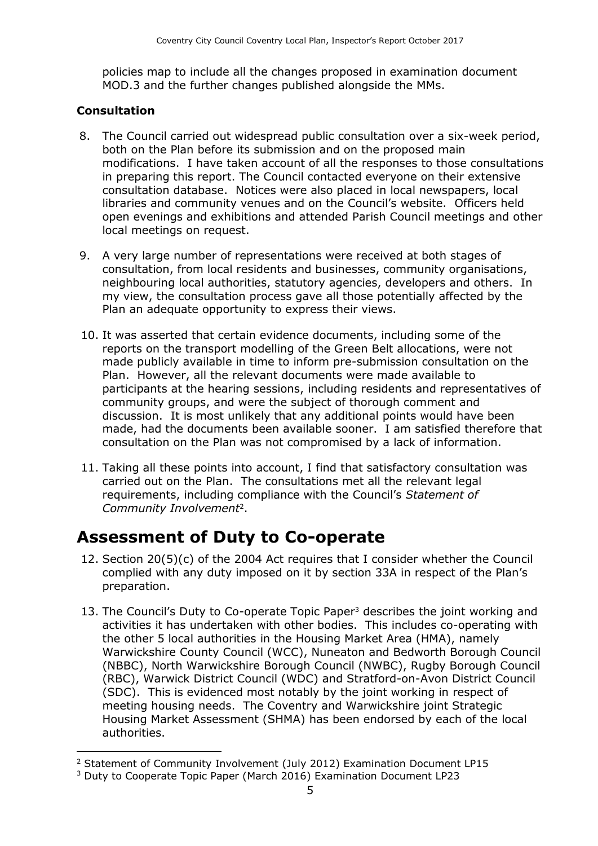policies map to include all the changes proposed in examination document MOD.3 and the further changes published alongside the MMs.

#### **Consultation**

 $\overline{a}$ 

- 8. The Council carried out widespread public consultation over a six-week period, both on the Plan before its submission and on the proposed main modifications. I have taken account of all the responses to those consultations in preparing this report. The Council contacted everyone on their extensive consultation database. Notices were also placed in local newspapers, local libraries and community venues and on the Council's website. Officers held open evenings and exhibitions and attended Parish Council meetings and other local meetings on request.
- 9. A very large number of representations were received at both stages of consultation, from local residents and businesses, community organisations, neighbouring local authorities, statutory agencies, developers and others. In my view, the consultation process gave all those potentially affected by the Plan an adequate opportunity to express their views.
- 10. It was asserted that certain evidence documents, including some of the reports on the transport modelling of the Green Belt allocations, were not made publicly available in time to inform pre-submission consultation on the Plan. However, all the relevant documents were made available to participants at the hearing sessions, including residents and representatives of community groups, and were the subject of thorough comment and discussion. It is most unlikely that any additional points would have been made, had the documents been available sooner. I am satisfied therefore that consultation on the Plan was not compromised by a lack of information.
- 11. Taking all these points into account, I find that satisfactory consultation was carried out on the Plan. The consultations met all the relevant legal requirements, including compliance with the Council's *Statement of Community Involvement*<sup>2</sup> .

### **Assessment of Duty to Co-operate**

- 12. Section 20(5)(c) of the 2004 Act requires that I consider whether the Council complied with any duty imposed on it by section 33A in respect of the Plan's preparation.
- 13. The Council's Duty to Co-operate Topic Paper<sup>3</sup> describes the joint working and activities it has undertaken with other bodies. This includes co-operating with the other 5 local authorities in the Housing Market Area (HMA), namely Warwickshire County Council (WCC), Nuneaton and Bedworth Borough Council (NBBC), North Warwickshire Borough Council (NWBC), Rugby Borough Council (RBC), Warwick District Council (WDC) and Stratford-on-Avon District Council (SDC). This is evidenced most notably by the joint working in respect of meeting housing needs. The Coventry and Warwickshire joint Strategic Housing Market Assessment (SHMA) has been endorsed by each of the local authorities.

<sup>2</sup> Statement of Community Involvement (July 2012) Examination Document LP15

<sup>3</sup> Duty to Cooperate Topic Paper (March 2016) Examination Document LP23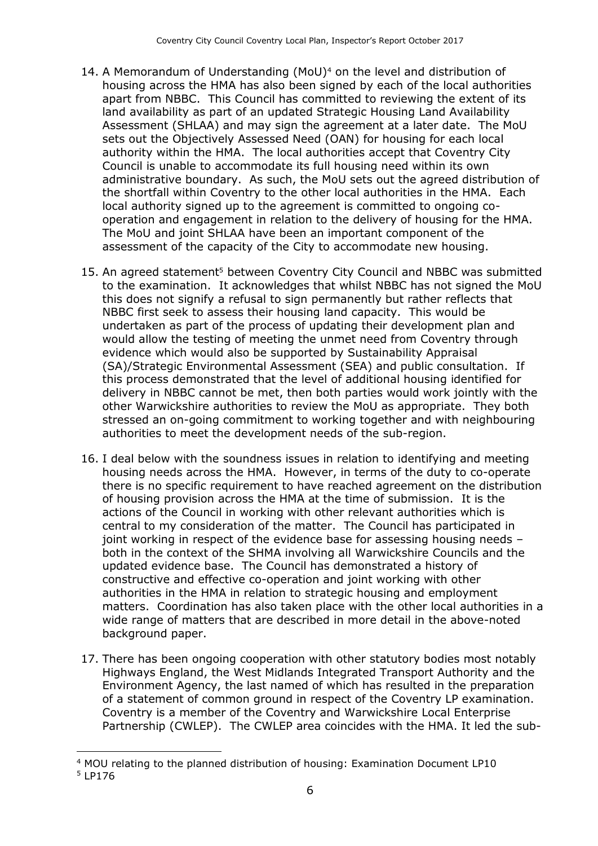- 14. A Memorandum of Understanding (MoU)<sup>4</sup> on the level and distribution of housing across the HMA has also been signed by each of the local authorities apart from NBBC. This Council has committed to reviewing the extent of its land availability as part of an updated Strategic Housing Land Availability Assessment (SHLAA) and may sign the agreement at a later date. The MoU sets out the Objectively Assessed Need (OAN) for housing for each local authority within the HMA. The local authorities accept that Coventry City Council is unable to accommodate its full housing need within its own administrative boundary. As such, the MoU sets out the agreed distribution of the shortfall within Coventry to the other local authorities in the HMA. Each local authority signed up to the agreement is committed to ongoing cooperation and engagement in relation to the delivery of housing for the HMA. The MoU and joint SHLAA have been an important component of the assessment of the capacity of the City to accommodate new housing.
- 15. An agreed statement<sup>5</sup> between Coventry City Council and NBBC was submitted to the examination. It acknowledges that whilst NBBC has not signed the MoU this does not signify a refusal to sign permanently but rather reflects that NBBC first seek to assess their housing land capacity. This would be undertaken as part of the process of updating their development plan and would allow the testing of meeting the unmet need from Coventry through evidence which would also be supported by Sustainability Appraisal (SA)/Strategic Environmental Assessment (SEA) and public consultation. If this process demonstrated that the level of additional housing identified for delivery in NBBC cannot be met, then both parties would work jointly with the other Warwickshire authorities to review the MoU as appropriate. They both stressed an on-going commitment to working together and with neighbouring authorities to meet the development needs of the sub-region.
- 16. I deal below with the soundness issues in relation to identifying and meeting housing needs across the HMA. However, in terms of the duty to co-operate there is no specific requirement to have reached agreement on the distribution of housing provision across the HMA at the time of submission. It is the actions of the Council in working with other relevant authorities which is central to my consideration of the matter. The Council has participated in joint working in respect of the evidence base for assessing housing needs – both in the context of the SHMA involving all Warwickshire Councils and the updated evidence base. The Council has demonstrated a history of constructive and effective co-operation and joint working with other authorities in the HMA in relation to strategic housing and employment matters. Coordination has also taken place with the other local authorities in a wide range of matters that are described in more detail in the above-noted background paper.
- 17. There has been ongoing cooperation with other statutory bodies most notably Highways England, the West Midlands Integrated Transport Authority and the Environment Agency, the last named of which has resulted in the preparation of a statement of common ground in respect of the Coventry LP examination. Coventry is a member of the Coventry and Warwickshire Local Enterprise Partnership (CWLEP). The CWLEP area coincides with the HMA. It led the sub-

<sup>4</sup> MOU relating to the planned distribution of housing: Examination Document LP10

<sup>5</sup> LP176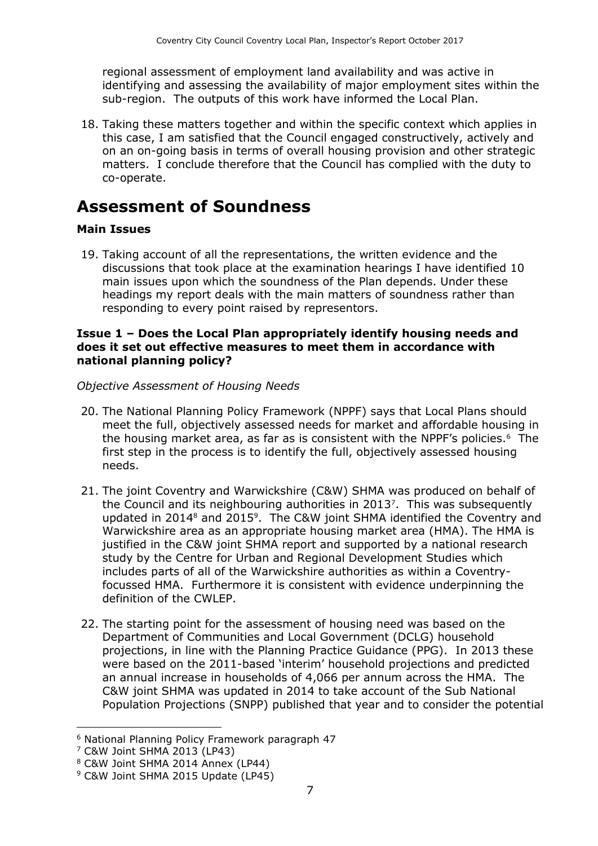regional assessment of employment land availability and was active in identifying and assessing the availability of major employment sites within the sub-region. The outputs of this work have informed the Local Plan.

18. Taking these matters together and within the specific context which applies in this case, I am satisfied that the Council engaged constructively, actively and on an on-going basis in terms of overall housing provision and other strategic matters. I conclude therefore that the Council has complied with the duty to co-operate.

### **Assessment of Soundness**

#### **Main Issues**

19. Taking account of all the representations, the written evidence and the discussions that took place at the examination hearings I have identified 10 main issues upon which the soundness of the Plan depends. Under these headings my report deals with the main matters of soundness rather than responding to every point raised by representors.

#### **Issue 1 – Does the Local Plan appropriately identify housing needs and does it set out effective measures to meet them in accordance with national planning policy?**

*Objective Assessment of Housing Needs*

- 20. The National Planning Policy Framework (NPPF) says that Local Plans should meet the full, objectively assessed needs for market and affordable housing in the housing market area, as far as is consistent with the NPPF's policies.<sup>6</sup> The first step in the process is to identify the full, objectively assessed housing needs.
- 21. The joint Coventry and Warwickshire (C&W) SHMA was produced on behalf of the Council and its neighbouring authorities in 2013<sup>7</sup> . This was subsequently updated in 2014<sup>8</sup> and 2015<sup>9</sup>. The C&W joint SHMA identified the Coventry and Warwickshire area as an appropriate housing market area (HMA). The HMA is justified in the C&W joint SHMA report and supported by a national research study by the Centre for Urban and Regional Development Studies which includes parts of all of the Warwickshire authorities as within a Coventryfocussed HMA. Furthermore it is consistent with evidence underpinning the definition of the CWLEP.
- 22. The starting point for the assessment of housing need was based on the Department of Communities and Local Government (DCLG) household projections, in line with the Planning Practice Guidance (PPG). In 2013 these were based on the 2011-based 'interim' household projections and predicted an annual increase in households of 4,066 per annum across the HMA. The C&W joint SHMA was updated in 2014 to take account of the Sub National Population Projections (SNPP) published that year and to consider the potential

 $\overline{a}$ <sup>6</sup> National Planning Policy Framework paragraph 47

<sup>7</sup> C&W Joint SHMA 2013 (LP43)

<sup>8</sup> C&W Joint SHMA 2014 Annex (LP44)

<sup>&</sup>lt;sup>9</sup> C&W Joint SHMA 2015 Update (LP45)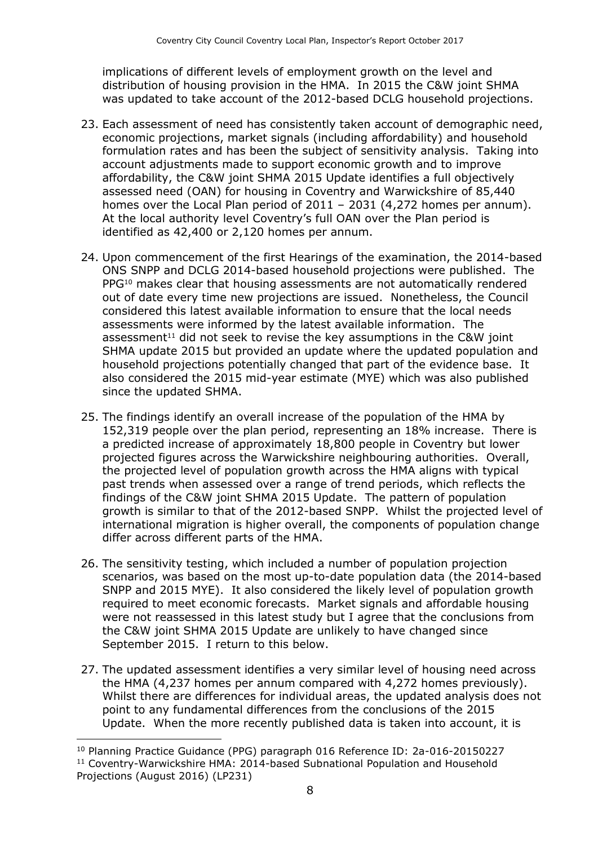implications of different levels of employment growth on the level and distribution of housing provision in the HMA. In 2015 the C&W joint SHMA was updated to take account of the 2012-based DCLG household projections.

- 23. Each assessment of need has consistently taken account of demographic need, economic projections, market signals (including affordability) and household formulation rates and has been the subject of sensitivity analysis. Taking into account adjustments made to support economic growth and to improve affordability, the C&W joint SHMA 2015 Update identifies a full objectively assessed need (OAN) for housing in Coventry and Warwickshire of 85,440 homes over the Local Plan period of 2011 – 2031 (4,272 homes per annum). At the local authority level Coventry's full OAN over the Plan period is identified as 42,400 or 2,120 homes per annum.
- 24. Upon commencement of the first Hearings of the examination, the 2014-based ONS SNPP and DCLG 2014-based household projections were published. The PPG<sup>10</sup> makes clear that housing assessments are not automatically rendered out of date every time new projections are issued. Nonetheless, the Council considered this latest available information to ensure that the local needs assessments were informed by the latest available information. The assessment<sup>11</sup> did not seek to revise the key assumptions in the C&W joint SHMA update 2015 but provided an update where the updated population and household projections potentially changed that part of the evidence base. It also considered the 2015 mid-year estimate (MYE) which was also published since the updated SHMA.
- 25. The findings identify an overall increase of the population of the HMA by 152,319 people over the plan period, representing an 18% increase. There is a predicted increase of approximately 18,800 people in Coventry but lower projected figures across the Warwickshire neighbouring authorities. Overall, the projected level of population growth across the HMA aligns with typical past trends when assessed over a range of trend periods, which reflects the findings of the C&W joint SHMA 2015 Update. The pattern of population growth is similar to that of the 2012-based SNPP. Whilst the projected level of international migration is higher overall, the components of population change differ across different parts of the HMA.
- 26. The sensitivity testing, which included a number of population projection scenarios, was based on the most up-to-date population data (the 2014-based SNPP and 2015 MYE). It also considered the likely level of population growth required to meet economic forecasts. Market signals and affordable housing were not reassessed in this latest study but I agree that the conclusions from the C&W joint SHMA 2015 Update are unlikely to have changed since September 2015. I return to this below.
- 27. The updated assessment identifies a very similar level of housing need across the HMA (4,237 homes per annum compared with 4,272 homes previously). Whilst there are differences for individual areas, the updated analysis does not point to any fundamental differences from the conclusions of the 2015 Update. When the more recently published data is taken into account, it is

<sup>10</sup> Planning Practice Guidance (PPG) paragraph 016 Reference ID: 2a-016-20150227

<sup>&</sup>lt;sup>11</sup> Coventry-Warwickshire HMA: 2014-based Subnational Population and Household Projections (August 2016) (LP231)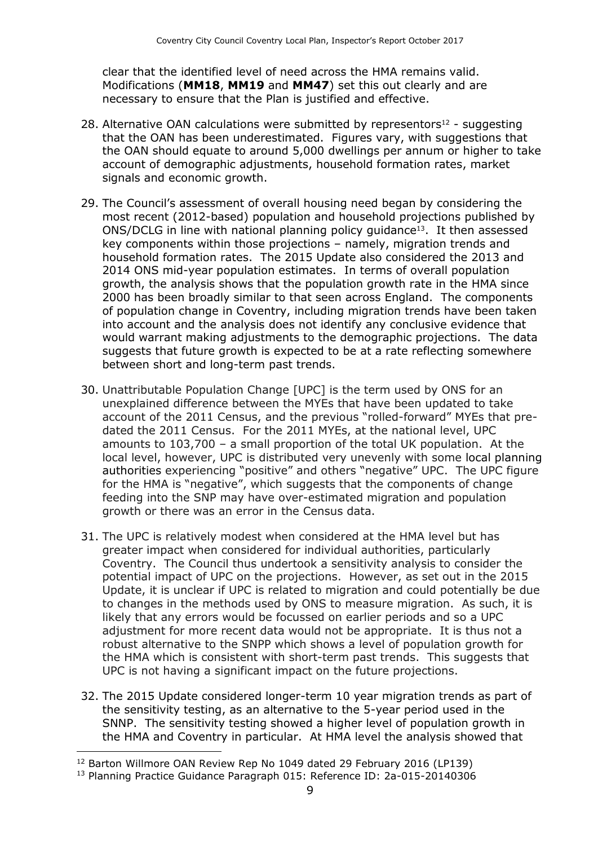clear that the identified level of need across the HMA remains valid. Modifications (**MM18**, **MM19** and **MM47**) set this out clearly and are necessary to ensure that the Plan is justified and effective.

- 28. Alternative OAN calculations were submitted by representors<sup>12</sup> suggesting that the OAN has been underestimated. Figures vary, with suggestions that the OAN should equate to around 5,000 dwellings per annum or higher to take account of demographic adjustments, household formation rates, market signals and economic growth.
- 29. The Council's assessment of overall housing need began by considering the most recent (2012-based) population and household projections published by ONS/DCLG in line with national planning policy guidance<sup>13</sup>. It then assessed key components within those projections – namely, migration trends and household formation rates. The 2015 Update also considered the 2013 and 2014 ONS mid-year population estimates. In terms of overall population growth, the analysis shows that the population growth rate in the HMA since 2000 has been broadly similar to that seen across England. The components of population change in Coventry, including migration trends have been taken into account and the analysis does not identify any conclusive evidence that would warrant making adjustments to the demographic projections. The data suggests that future growth is expected to be at a rate reflecting somewhere between short and long-term past trends.
- 30. Unattributable Population Change [UPC] is the term used by ONS for an unexplained difference between the MYEs that have been updated to take account of the 2011 Census, and the previous "rolled-forward" MYEs that predated the 2011 Census. For the 2011 MYEs, at the national level, UPC amounts to 103,700 – a small proportion of the total UK population. At the local level, however, UPC is distributed very unevenly with some local planning authorities experiencing "positive" and others "negative" UPC. The UPC figure for the HMA is "negative", which suggests that the components of change feeding into the SNP may have over-estimated migration and population growth or there was an error in the Census data.
- 31. The UPC is relatively modest when considered at the HMA level but has greater impact when considered for individual authorities, particularly Coventry. The Council thus undertook a sensitivity analysis to consider the potential impact of UPC on the projections. However, as set out in the 2015 Update, it is unclear if UPC is related to migration and could potentially be due to changes in the methods used by ONS to measure migration. As such, it is likely that any errors would be focussed on earlier periods and so a UPC adjustment for more recent data would not be appropriate. It is thus not a robust alternative to the SNPP which shows a level of population growth for the HMA which is consistent with short-term past trends. This suggests that UPC is not having a significant impact on the future projections.
- 32. The 2015 Update considered longer-term 10 year migration trends as part of the sensitivity testing, as an alternative to the 5-year period used in the SNNP. The sensitivity testing showed a higher level of population growth in the HMA and Coventry in particular. At HMA level the analysis showed that

<sup>12</sup> Barton Willmore OAN Review Rep No 1049 dated 29 February 2016 (LP139)

<sup>&</sup>lt;sup>13</sup> Planning Practice Guidance Paragraph 015: Reference ID: 2a-015-20140306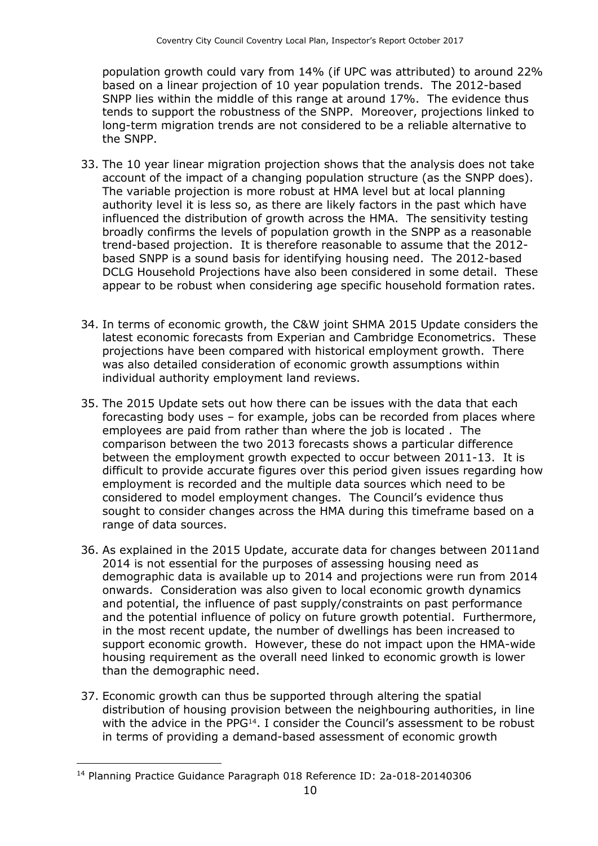population growth could vary from 14% (if UPC was attributed) to around 22% based on a linear projection of 10 year population trends. The 2012-based SNPP lies within the middle of this range at around 17%. The evidence thus tends to support the robustness of the SNPP. Moreover, projections linked to long-term migration trends are not considered to be a reliable alternative to the SNPP.

- 33. The 10 year linear migration projection shows that the analysis does not take account of the impact of a changing population structure (as the SNPP does). The variable projection is more robust at HMA level but at local planning authority level it is less so, as there are likely factors in the past which have influenced the distribution of growth across the HMA. The sensitivity testing broadly confirms the levels of population growth in the SNPP as a reasonable trend-based projection. It is therefore reasonable to assume that the 2012 based SNPP is a sound basis for identifying housing need. The 2012-based DCLG Household Projections have also been considered in some detail. These appear to be robust when considering age specific household formation rates.
- 34. In terms of economic growth, the C&W joint SHMA 2015 Update considers the latest economic forecasts from Experian and Cambridge Econometrics. These projections have been compared with historical employment growth. There was also detailed consideration of economic growth assumptions within individual authority employment land reviews.
- 35. The 2015 Update sets out how there can be issues with the data that each forecasting body uses – for example, jobs can be recorded from places where employees are paid from rather than where the job is located . The comparison between the two 2013 forecasts shows a particular difference between the employment growth expected to occur between 2011-13. It is difficult to provide accurate figures over this period given issues regarding how employment is recorded and the multiple data sources which need to be considered to model employment changes. The Council's evidence thus sought to consider changes across the HMA during this timeframe based on a range of data sources.
- 36. As explained in the 2015 Update, accurate data for changes between 2011and 2014 is not essential for the purposes of assessing housing need as demographic data is available up to 2014 and projections were run from 2014 onwards. Consideration was also given to local economic growth dynamics and potential, the influence of past supply/constraints on past performance and the potential influence of policy on future growth potential. Furthermore, in the most recent update, the number of dwellings has been increased to support economic growth. However, these do not impact upon the HMA-wide housing requirement as the overall need linked to economic growth is lower than the demographic need.
- 37. Economic growth can thus be supported through altering the spatial distribution of housing provision between the neighbouring authorities, in line with the advice in the PPG<sup>14</sup>. I consider the Council's assessment to be robust in terms of providing a demand-based assessment of economic growth

<sup>14</sup> Planning Practice Guidance Paragraph 018 Reference ID: 2a-018-20140306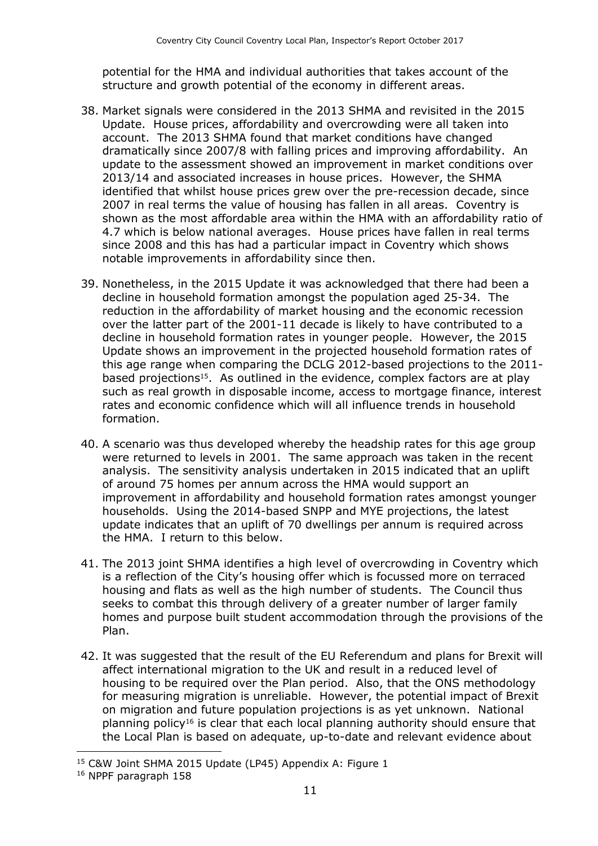potential for the HMA and individual authorities that takes account of the structure and growth potential of the economy in different areas.

- 38. Market signals were considered in the 2013 SHMA and revisited in the 2015 Update. House prices, affordability and overcrowding were all taken into account. The 2013 SHMA found that market conditions have changed dramatically since 2007/8 with falling prices and improving affordability. An update to the assessment showed an improvement in market conditions over 2013/14 and associated increases in house prices. However, the SHMA identified that whilst house prices grew over the pre-recession decade, since 2007 in real terms the value of housing has fallen in all areas. Coventry is shown as the most affordable area within the HMA with an affordability ratio of 4.7 which is below national averages. House prices have fallen in real terms since 2008 and this has had a particular impact in Coventry which shows notable improvements in affordability since then.
- 39. Nonetheless, in the 2015 Update it was acknowledged that there had been a decline in household formation amongst the population aged 25-34. The reduction in the affordability of market housing and the economic recession over the latter part of the 2001-11 decade is likely to have contributed to a decline in household formation rates in younger people. However, the 2015 Update shows an improvement in the projected household formation rates of this age range when comparing the DCLG 2012-based projections to the 2011 based projections<sup>15</sup>. As outlined in the evidence, complex factors are at play such as real growth in disposable income, access to mortgage finance, interest rates and economic confidence which will all influence trends in household formation.
- 40. A scenario was thus developed whereby the headship rates for this age group were returned to levels in 2001. The same approach was taken in the recent analysis. The sensitivity analysis undertaken in 2015 indicated that an uplift of around 75 homes per annum across the HMA would support an improvement in affordability and household formation rates amongst younger households. Using the 2014-based SNPP and MYE projections, the latest update indicates that an uplift of 70 dwellings per annum is required across the HMA. I return to this below.
- 41. The 2013 joint SHMA identifies a high level of overcrowding in Coventry which is a reflection of the City's housing offer which is focussed more on terraced housing and flats as well as the high number of students. The Council thus seeks to combat this through delivery of a greater number of larger family homes and purpose built student accommodation through the provisions of the Plan.
- 42. It was suggested that the result of the EU Referendum and plans for Brexit will affect international migration to the UK and result in a reduced level of housing to be required over the Plan period. Also, that the ONS methodology for measuring migration is unreliable. However, the potential impact of Brexit on migration and future population projections is as yet unknown. National planning policy<sup>16</sup> is clear that each local planning authority should ensure that the Local Plan is based on adequate, up-to-date and relevant evidence about

<sup>15</sup> C&W Joint SHMA 2015 Update (LP45) Appendix A: Figure 1

<sup>16</sup> NPPF paragraph 158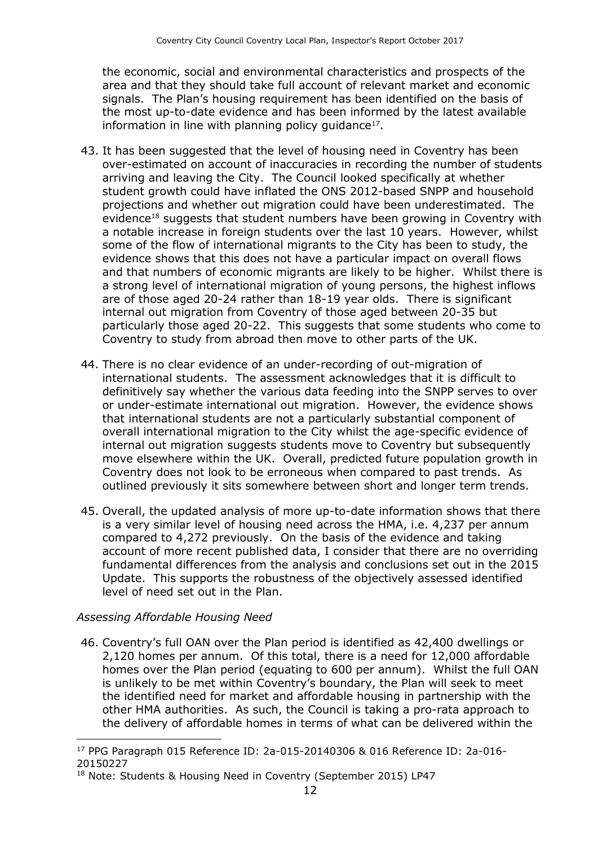the economic, social and environmental characteristics and prospects of the area and that they should take full account of relevant market and economic signals. The Plan's housing requirement has been identified on the basis of the most up-to-date evidence and has been informed by the latest available information in line with planning policy guidance<sup>17</sup>.

- 43. It has been suggested that the level of housing need in Coventry has been over-estimated on account of inaccuracies in recording the number of students arriving and leaving the City. The Council looked specifically at whether student growth could have inflated the ONS 2012-based SNPP and household projections and whether out migration could have been underestimated. The evidence<sup>18</sup> suggests that student numbers have been growing in Coventry with a notable increase in foreign students over the last 10 years. However, whilst some of the flow of international migrants to the City has been to study, the evidence shows that this does not have a particular impact on overall flows and that numbers of economic migrants are likely to be higher. Whilst there is a strong level of international migration of young persons, the highest inflows are of those aged 20-24 rather than 18-19 year olds. There is significant internal out migration from Coventry of those aged between 20-35 but particularly those aged 20-22. This suggests that some students who come to Coventry to study from abroad then move to other parts of the UK.
- 44. There is no clear evidence of an under-recording of out-migration of international students. The assessment acknowledges that it is difficult to definitively say whether the various data feeding into the SNPP serves to over or under-estimate international out migration. However, the evidence shows that international students are not a particularly substantial component of overall international migration to the City whilst the age-specific evidence of internal out migration suggests students move to Coventry but subsequently move elsewhere within the UK. Overall, predicted future population growth in Coventry does not look to be erroneous when compared to past trends. As outlined previously it sits somewhere between short and longer term trends.
- 45. Overall, the updated analysis of more up-to-date information shows that there is a very similar level of housing need across the HMA, i.e. 4,237 per annum compared to 4,272 previously. On the basis of the evidence and taking account of more recent published data, I consider that there are no overriding fundamental differences from the analysis and conclusions set out in the 2015 Update. This supports the robustness of the objectively assessed identified level of need set out in the Plan.

#### *Assessing Affordable Housing Need*

46. Coventry's full OAN over the Plan period is identified as 42,400 dwellings or 2,120 homes per annum. Of this total, there is a need for 12,000 affordable homes over the Plan period (equating to 600 per annum). Whilst the full OAN is unlikely to be met within Coventry's boundary, the Plan will seek to meet the identified need for market and affordable housing in partnership with the other HMA authorities. As such, the Council is taking a pro-rata approach to the delivery of affordable homes in terms of what can be delivered within the

 $\overline{a}$ <sup>17</sup> PPG Paragraph 015 Reference ID: 2a-015-20140306 & 016 Reference ID: 2a-016- 20150227

<sup>&</sup>lt;sup>18</sup> Note: Students & Housing Need in Coventry (September 2015) LP47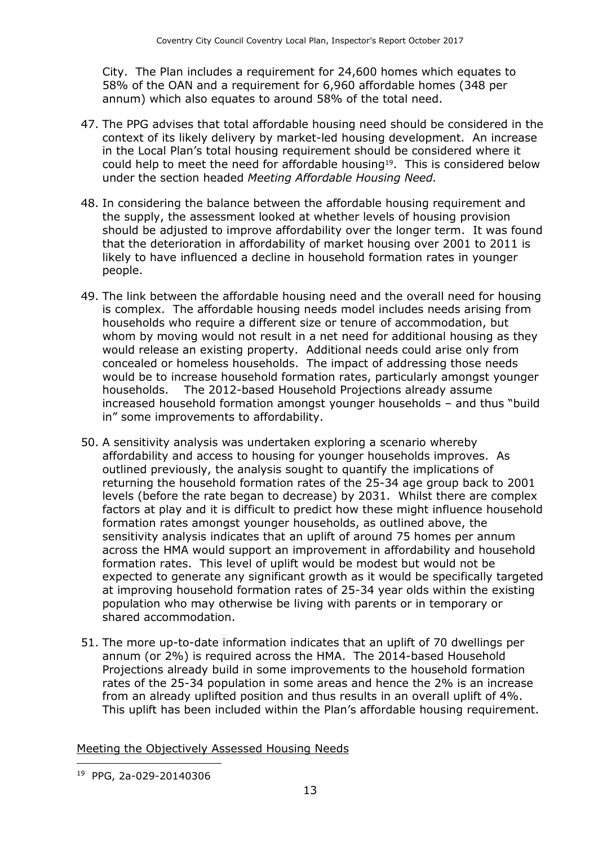City. The Plan includes a requirement for 24,600 homes which equates to 58% of the OAN and a requirement for 6,960 affordable homes (348 per annum) which also equates to around 58% of the total need.

- 47. The PPG advises that total affordable housing need should be considered in the context of its likely delivery by market-led housing development. An increase in the Local Plan's total housing requirement should be considered where it could help to meet the need for affordable housing<sup>19</sup>. This is considered below under the section headed *Meeting Affordable Housing Need.*
- 48. In considering the balance between the affordable housing requirement and the supply, the assessment looked at whether levels of housing provision should be adjusted to improve affordability over the longer term. It was found that the deterioration in affordability of market housing over 2001 to 2011 is likely to have influenced a decline in household formation rates in younger people.
- 49. The link between the affordable housing need and the overall need for housing is complex. The affordable housing needs model includes needs arising from households who require a different size or tenure of accommodation, but whom by moving would not result in a net need for additional housing as they would release an existing property. Additional needs could arise only from concealed or homeless households. The impact of addressing those needs would be to increase household formation rates, particularly amongst younger households. The 2012-based Household Projections already assume increased household formation amongst younger households – and thus "build in" some improvements to affordability.
- 50. A sensitivity analysis was undertaken exploring a scenario whereby affordability and access to housing for younger households improves. As outlined previously, the analysis sought to quantify the implications of returning the household formation rates of the 25-34 age group back to 2001 levels (before the rate began to decrease) by 2031. Whilst there are complex factors at play and it is difficult to predict how these might influence household formation rates amongst younger households, as outlined above, the sensitivity analysis indicates that an uplift of around 75 homes per annum across the HMA would support an improvement in affordability and household formation rates. This level of uplift would be modest but would not be expected to generate any significant growth as it would be specifically targeted at improving household formation rates of 25-34 year olds within the existing population who may otherwise be living with parents or in temporary or shared accommodation.
- 51. The more up-to-date information indicates that an uplift of 70 dwellings per annum (or 2%) is required across the HMA. The 2014-based Household Projections already build in some improvements to the household formation rates of the 25-34 population in some areas and hence the 2% is an increase from an already uplifted position and thus results in an overall uplift of 4%. This uplift has been included within the Plan's affordable housing requirement.

Meeting the Objectively Assessed Housing Needs

<sup>19</sup> PPG, 2a-029-20140306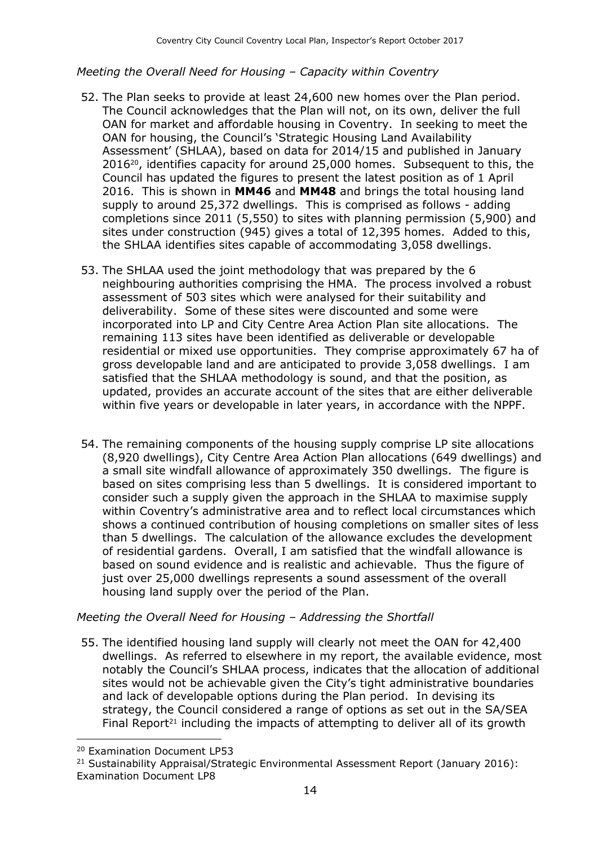#### *Meeting the Overall Need for Housing – Capacity within Coventry*

- 52. The Plan seeks to provide at least 24,600 new homes over the Plan period. The Council acknowledges that the Plan will not, on its own, deliver the full OAN for market and affordable housing in Coventry. In seeking to meet the OAN for housing, the Council's 'Strategic Housing Land Availability Assessment' (SHLAA), based on data for 2014/15 and published in January 201620, identifies capacity for around 25,000 homes. Subsequent to this, the Council has updated the figures to present the latest position as of 1 April 2016. This is shown in **MM46** and **MM48** and brings the total housing land supply to around 25,372 dwellings. This is comprised as follows - adding completions since 2011 (5,550) to sites with planning permission (5,900) and sites under construction (945) gives a total of 12,395 homes. Added to this, the SHLAA identifies sites capable of accommodating 3,058 dwellings.
- 53. The SHLAA used the joint methodology that was prepared by the 6 neighbouring authorities comprising the HMA. The process involved a robust assessment of 503 sites which were analysed for their suitability and deliverability. Some of these sites were discounted and some were incorporated into LP and City Centre Area Action Plan site allocations. The remaining 113 sites have been identified as deliverable or developable residential or mixed use opportunities. They comprise approximately 67 ha of gross developable land and are anticipated to provide 3,058 dwellings. I am satisfied that the SHLAA methodology is sound, and that the position, as updated, provides an accurate account of the sites that are either deliverable within five years or developable in later years, in accordance with the NPPF.
- 54. The remaining components of the housing supply comprise LP site allocations (8,920 dwellings), City Centre Area Action Plan allocations (649 dwellings) and a small site windfall allowance of approximately 350 dwellings. The figure is based on sites comprising less than 5 dwellings. It is considered important to consider such a supply given the approach in the SHLAA to maximise supply within Coventry's administrative area and to reflect local circumstances which shows a continued contribution of housing completions on smaller sites of less than 5 dwellings. The calculation of the allowance excludes the development of residential gardens. Overall, I am satisfied that the windfall allowance is based on sound evidence and is realistic and achievable. Thus the figure of just over 25,000 dwellings represents a sound assessment of the overall housing land supply over the period of the Plan.

#### *Meeting the Overall Need for Housing – Addressing the Shortfall*

55. The identified housing land supply will clearly not meet the OAN for 42,400 dwellings. As referred to elsewhere in my report, the available evidence, most notably the Council's SHLAA process, indicates that the allocation of additional sites would not be achievable given the City's tight administrative boundaries and lack of developable options during the Plan period. In devising its strategy, the Council considered a range of options as set out in the SA/SEA Final Report<sup>21</sup> including the impacts of attempting to deliver all of its growth

<sup>20</sup> Examination Document LP53

<sup>&</sup>lt;sup>21</sup> Sustainability Appraisal/Strategic Environmental Assessment Report (January 2016): Examination Document LP8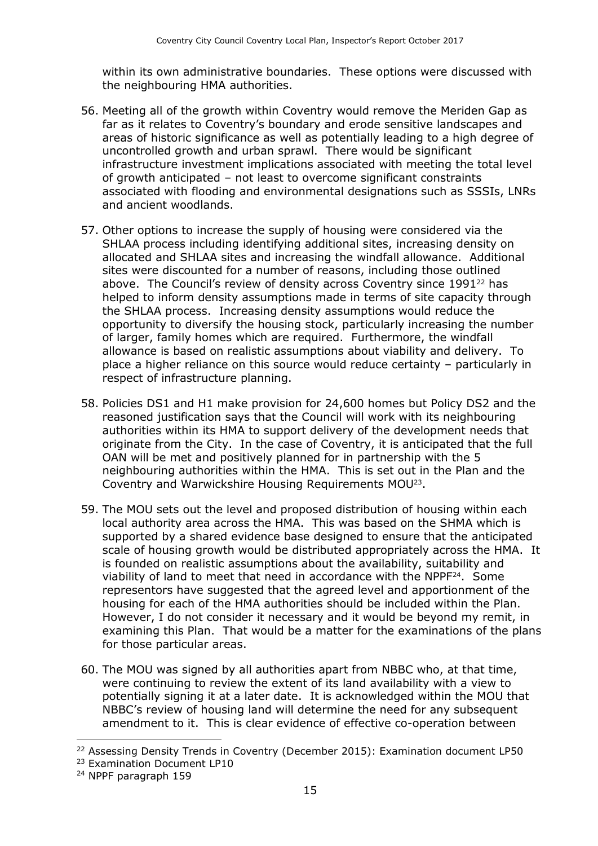within its own administrative boundaries. These options were discussed with the neighbouring HMA authorities.

- 56. Meeting all of the growth within Coventry would remove the Meriden Gap as far as it relates to Coventry's boundary and erode sensitive landscapes and areas of historic significance as well as potentially leading to a high degree of uncontrolled growth and urban sprawl. There would be significant infrastructure investment implications associated with meeting the total level of growth anticipated – not least to overcome significant constraints associated with flooding and environmental designations such as SSSIs, LNRs and ancient woodlands.
- 57. Other options to increase the supply of housing were considered via the SHLAA process including identifying additional sites, increasing density on allocated and SHLAA sites and increasing the windfall allowance. Additional sites were discounted for a number of reasons, including those outlined above. The Council's review of density across Coventry since 1991<sup>22</sup> has helped to inform density assumptions made in terms of site capacity through the SHLAA process. Increasing density assumptions would reduce the opportunity to diversify the housing stock, particularly increasing the number of larger, family homes which are required. Furthermore, the windfall allowance is based on realistic assumptions about viability and delivery. To place a higher reliance on this source would reduce certainty – particularly in respect of infrastructure planning.
- 58. Policies DS1 and H1 make provision for 24,600 homes but Policy DS2 and the reasoned justification says that the Council will work with its neighbouring authorities within its HMA to support delivery of the development needs that originate from the City. In the case of Coventry, it is anticipated that the full OAN will be met and positively planned for in partnership with the 5 neighbouring authorities within the HMA. This is set out in the Plan and the Coventry and Warwickshire Housing Requirements MOU<sup>23</sup> .
- 59. The MOU sets out the level and proposed distribution of housing within each local authority area across the HMA. This was based on the SHMA which is supported by a shared evidence base designed to ensure that the anticipated scale of housing growth would be distributed appropriately across the HMA. It is founded on realistic assumptions about the availability, suitability and viability of land to meet that need in accordance with the NPPF<sup>24</sup> . Some representors have suggested that the agreed level and apportionment of the housing for each of the HMA authorities should be included within the Plan. However, I do not consider it necessary and it would be beyond my remit, in examining this Plan. That would be a matter for the examinations of the plans for those particular areas.
- 60. The MOU was signed by all authorities apart from NBBC who, at that time, were continuing to review the extent of its land availability with a view to potentially signing it at a later date. It is acknowledged within the MOU that NBBC's review of housing land will determine the need for any subsequent amendment to it. This is clear evidence of effective co-operation between

<sup>&</sup>lt;sup>22</sup> Assessing Density Trends in Coventry (December 2015): Examination document LP50

<sup>23</sup> Examination Document LP10

<sup>24</sup> NPPF paragraph 159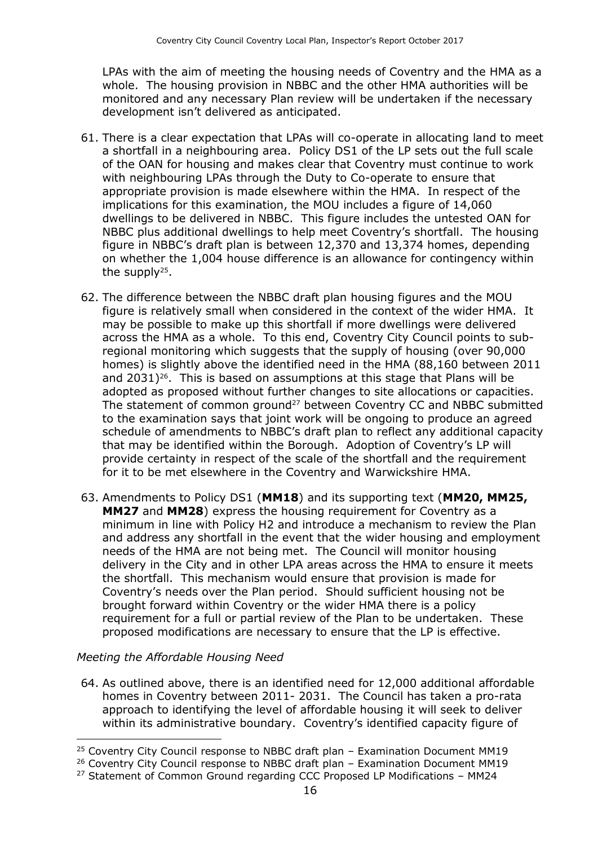LPAs with the aim of meeting the housing needs of Coventry and the HMA as a whole. The housing provision in NBBC and the other HMA authorities will be monitored and any necessary Plan review will be undertaken if the necessary development isn't delivered as anticipated.

- 61. There is a clear expectation that LPAs will co-operate in allocating land to meet a shortfall in a neighbouring area. Policy DS1 of the LP sets out the full scale of the OAN for housing and makes clear that Coventry must continue to work with neighbouring LPAs through the Duty to Co-operate to ensure that appropriate provision is made elsewhere within the HMA. In respect of the implications for this examination, the MOU includes a figure of 14,060 dwellings to be delivered in NBBC. This figure includes the untested OAN for NBBC plus additional dwellings to help meet Coventry's shortfall. The housing figure in NBBC's draft plan is between 12,370 and 13,374 homes, depending on whether the 1,004 house difference is an allowance for contingency within the supply<sup>25</sup>.
- 62. The difference between the NBBC draft plan housing figures and the MOU figure is relatively small when considered in the context of the wider HMA. It may be possible to make up this shortfall if more dwellings were delivered across the HMA as a whole. To this end, Coventry City Council points to subregional monitoring which suggests that the supply of housing (over 90,000 homes) is slightly above the identified need in the HMA (88,160 between 2011 and  $2031$ <sup>26</sup>. This is based on assumptions at this stage that Plans will be adopted as proposed without further changes to site allocations or capacities. The statement of common ground<sup>27</sup> between Coventry CC and NBBC submitted to the examination says that joint work will be ongoing to produce an agreed schedule of amendments to NBBC's draft plan to reflect any additional capacity that may be identified within the Borough. Adoption of Coventry's LP will provide certainty in respect of the scale of the shortfall and the requirement for it to be met elsewhere in the Coventry and Warwickshire HMA.
- 63. Amendments to Policy DS1 (**MM18**) and its supporting text (**MM20, MM25, MM27** and **MM28**) express the housing requirement for Coventry as a minimum in line with Policy H2 and introduce a mechanism to review the Plan and address any shortfall in the event that the wider housing and employment needs of the HMA are not being met. The Council will monitor housing delivery in the City and in other LPA areas across the HMA to ensure it meets the shortfall. This mechanism would ensure that provision is made for Coventry's needs over the Plan period. Should sufficient housing not be brought forward within Coventry or the wider HMA there is a policy requirement for a full or partial review of the Plan to be undertaken. These proposed modifications are necessary to ensure that the LP is effective.

#### *Meeting the Affordable Housing Need*

 $\overline{a}$ 

64. As outlined above, there is an identified need for 12,000 additional affordable homes in Coventry between 2011- 2031. The Council has taken a pro-rata approach to identifying the level of affordable housing it will seek to deliver within its administrative boundary. Coventry's identified capacity figure of

 $25$  Coventry City Council response to NBBC draft plan – Examination Document MM19

<sup>&</sup>lt;sup>26</sup> Coventry City Council response to NBBC draft plan - Examination Document MM19

 $27$  Statement of Common Ground regarding CCC Proposed LP Modifications - MM24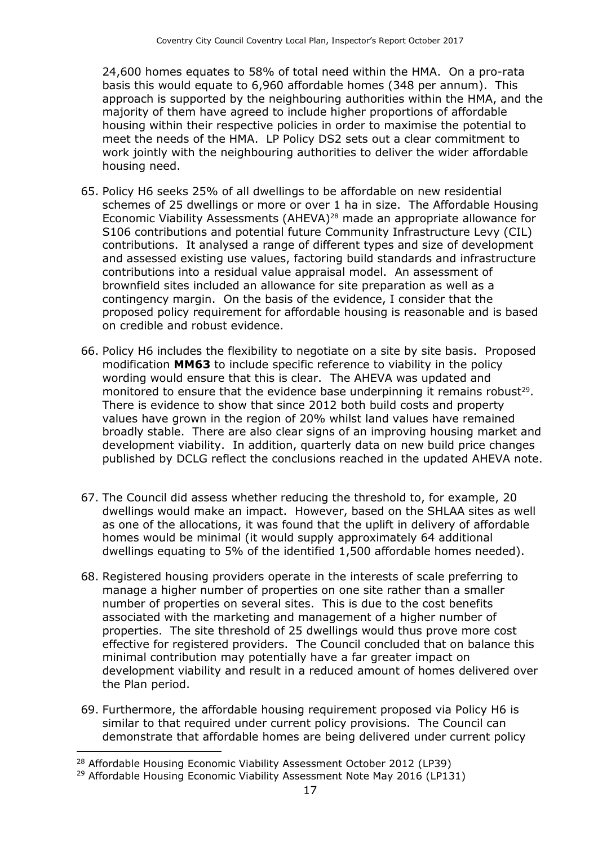24,600 homes equates to 58% of total need within the HMA. On a pro-rata basis this would equate to 6,960 affordable homes (348 per annum). This approach is supported by the neighbouring authorities within the HMA, and the majority of them have agreed to include higher proportions of affordable housing within their respective policies in order to maximise the potential to meet the needs of the HMA. LP Policy DS2 sets out a clear commitment to work jointly with the neighbouring authorities to deliver the wider affordable housing need.

- 65. Policy H6 seeks 25% of all dwellings to be affordable on new residential schemes of 25 dwellings or more or over 1 ha in size. The Affordable Housing Economic Viability Assessments (AHEVA)<sup>28</sup> made an appropriate allowance for S106 contributions and potential future Community Infrastructure Levy (CIL) contributions. It analysed a range of different types and size of development and assessed existing use values, factoring build standards and infrastructure contributions into a residual value appraisal model. An assessment of brownfield sites included an allowance for site preparation as well as a contingency margin. On the basis of the evidence, I consider that the proposed policy requirement for affordable housing is reasonable and is based on credible and robust evidence.
- 66. Policy H6 includes the flexibility to negotiate on a site by site basis. Proposed modification **MM63** to include specific reference to viability in the policy wording would ensure that this is clear. The AHEVA was updated and monitored to ensure that the evidence base underpinning it remains robust<sup>29</sup>. There is evidence to show that since 2012 both build costs and property values have grown in the region of 20% whilst land values have remained broadly stable. There are also clear signs of an improving housing market and development viability. In addition, quarterly data on new build price changes published by DCLG reflect the conclusions reached in the updated AHEVA note.
- 67. The Council did assess whether reducing the threshold to, for example, 20 dwellings would make an impact. However, based on the SHLAA sites as well as one of the allocations, it was found that the uplift in delivery of affordable homes would be minimal (it would supply approximately 64 additional dwellings equating to 5% of the identified 1,500 affordable homes needed).
- 68. Registered housing providers operate in the interests of scale preferring to manage a higher number of properties on one site rather than a smaller number of properties on several sites. This is due to the cost benefits associated with the marketing and management of a higher number of properties. The site threshold of 25 dwellings would thus prove more cost effective for registered providers. The Council concluded that on balance this minimal contribution may potentially have a far greater impact on development viability and result in a reduced amount of homes delivered over the Plan period.
- 69. Furthermore, the affordable housing requirement proposed via Policy H6 is similar to that required under current policy provisions. The Council can demonstrate that affordable homes are being delivered under current policy

<sup>28</sup> Affordable Housing Economic Viability Assessment October 2012 (LP39)

<sup>&</sup>lt;sup>29</sup> Affordable Housing Economic Viability Assessment Note May 2016 (LP131)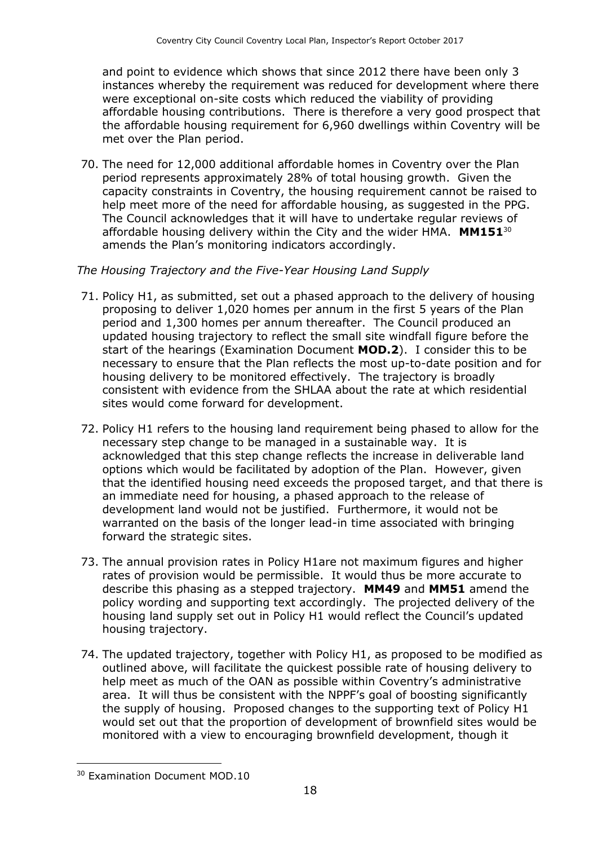and point to evidence which shows that since 2012 there have been only 3 instances whereby the requirement was reduced for development where there were exceptional on-site costs which reduced the viability of providing affordable housing contributions. There is therefore a very good prospect that the affordable housing requirement for 6,960 dwellings within Coventry will be met over the Plan period.

70. The need for 12,000 additional affordable homes in Coventry over the Plan period represents approximately 28% of total housing growth. Given the capacity constraints in Coventry, the housing requirement cannot be raised to help meet more of the need for affordable housing, as suggested in the PPG. The Council acknowledges that it will have to undertake regular reviews of affordable housing delivery within the City and the wider HMA. **MM151**<sup>30</sup> amends the Plan's monitoring indicators accordingly.

#### *The Housing Trajectory and the Five-Year Housing Land Supply*

- 71. Policy H1, as submitted, set out a phased approach to the delivery of housing proposing to deliver 1,020 homes per annum in the first 5 years of the Plan period and 1,300 homes per annum thereafter. The Council produced an updated housing trajectory to reflect the small site windfall figure before the start of the hearings (Examination Document **MOD.2**). I consider this to be necessary to ensure that the Plan reflects the most up-to-date position and for housing delivery to be monitored effectively. The trajectory is broadly consistent with evidence from the SHLAA about the rate at which residential sites would come forward for development.
- 72. Policy H1 refers to the housing land requirement being phased to allow for the necessary step change to be managed in a sustainable way. It is acknowledged that this step change reflects the increase in deliverable land options which would be facilitated by adoption of the Plan. However, given that the identified housing need exceeds the proposed target, and that there is an immediate need for housing, a phased approach to the release of development land would not be justified. Furthermore, it would not be warranted on the basis of the longer lead-in time associated with bringing forward the strategic sites.
- 73. The annual provision rates in Policy H1are not maximum figures and higher rates of provision would be permissible. It would thus be more accurate to describe this phasing as a stepped trajectory. **MM49** and **MM51** amend the policy wording and supporting text accordingly. The projected delivery of the housing land supply set out in Policy H1 would reflect the Council's updated housing trajectory.
- 74. The updated trajectory, together with Policy H1, as proposed to be modified as outlined above, will facilitate the quickest possible rate of housing delivery to help meet as much of the OAN as possible within Coventry's administrative area. It will thus be consistent with the NPPF's goal of boosting significantly the supply of housing. Proposed changes to the supporting text of Policy H1 would set out that the proportion of development of brownfield sites would be monitored with a view to encouraging brownfield development, though it

<sup>30</sup> Examination Document MOD.10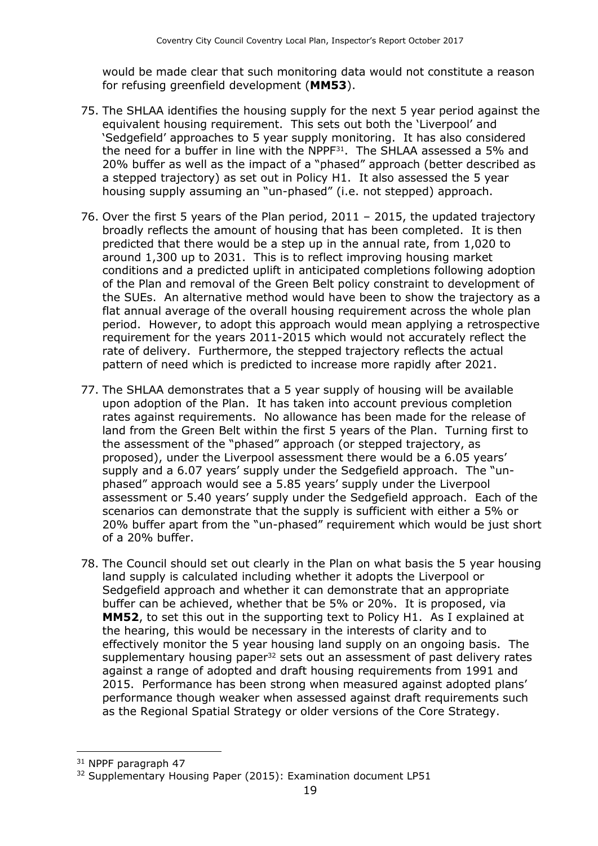would be made clear that such monitoring data would not constitute a reason for refusing greenfield development (**MM53**).

- 75. The SHLAA identifies the housing supply for the next 5 year period against the equivalent housing requirement. This sets out both the 'Liverpool' and 'Sedgefield' approaches to 5 year supply monitoring. It has also considered the need for a buffer in line with the NPPF<sup>31</sup>. The SHLAA assessed a 5% and 20% buffer as well as the impact of a "phased" approach (better described as a stepped trajectory) as set out in Policy H1. It also assessed the 5 year housing supply assuming an "un-phased" (i.e. not stepped) approach.
- 76. Over the first 5 years of the Plan period, 2011 2015, the updated trajectory broadly reflects the amount of housing that has been completed. It is then predicted that there would be a step up in the annual rate, from 1,020 to around 1,300 up to 2031. This is to reflect improving housing market conditions and a predicted uplift in anticipated completions following adoption of the Plan and removal of the Green Belt policy constraint to development of the SUEs. An alternative method would have been to show the trajectory as a flat annual average of the overall housing requirement across the whole plan period. However, to adopt this approach would mean applying a retrospective requirement for the years 2011-2015 which would not accurately reflect the rate of delivery. Furthermore, the stepped trajectory reflects the actual pattern of need which is predicted to increase more rapidly after 2021.
- 77. The SHLAA demonstrates that a 5 year supply of housing will be available upon adoption of the Plan. It has taken into account previous completion rates against requirements. No allowance has been made for the release of land from the Green Belt within the first 5 years of the Plan. Turning first to the assessment of the "phased" approach (or stepped trajectory, as proposed), under the Liverpool assessment there would be a 6.05 years' supply and a 6.07 years' supply under the Sedgefield approach. The "unphased" approach would see a 5.85 years' supply under the Liverpool assessment or 5.40 years' supply under the Sedgefield approach. Each of the scenarios can demonstrate that the supply is sufficient with either a 5% or 20% buffer apart from the "un-phased" requirement which would be just short of a 20% buffer.
- 78. The Council should set out clearly in the Plan on what basis the 5 year housing land supply is calculated including whether it adopts the Liverpool or Sedgefield approach and whether it can demonstrate that an appropriate buffer can be achieved, whether that be 5% or 20%. It is proposed, via **MM52**, to set this out in the supporting text to Policy H1. As I explained at the hearing, this would be necessary in the interests of clarity and to effectively monitor the 5 year housing land supply on an ongoing basis. The supplementary housing paper<sup>32</sup> sets out an assessment of past delivery rates against a range of adopted and draft housing requirements from 1991 and 2015. Performance has been strong when measured against adopted plans' performance though weaker when assessed against draft requirements such as the Regional Spatial Strategy or older versions of the Core Strategy.

<sup>31</sup> NPPF paragraph 47

<sup>&</sup>lt;sup>32</sup> Supplementary Housing Paper (2015): Examination document LP51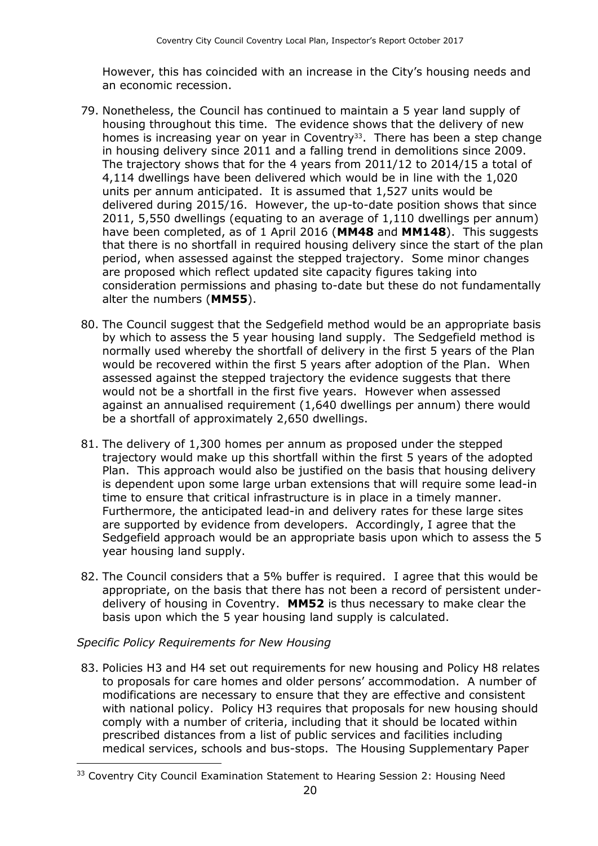However, this has coincided with an increase in the City's housing needs and an economic recession.

- 79. Nonetheless, the Council has continued to maintain a 5 year land supply of housing throughout this time. The evidence shows that the delivery of new homes is increasing year on year in Coventry<sup>33</sup>. There has been a step change in housing delivery since 2011 and a falling trend in demolitions since 2009. The trajectory shows that for the 4 years from 2011/12 to 2014/15 a total of 4,114 dwellings have been delivered which would be in line with the 1,020 units per annum anticipated. It is assumed that 1,527 units would be delivered during 2015/16. However, the up-to-date position shows that since 2011, 5,550 dwellings (equating to an average of 1,110 dwellings per annum) have been completed, as of 1 April 2016 (**MM48** and **MM148**). This suggests that there is no shortfall in required housing delivery since the start of the plan period, when assessed against the stepped trajectory. Some minor changes are proposed which reflect updated site capacity figures taking into consideration permissions and phasing to-date but these do not fundamentally alter the numbers (**MM55**).
- 80. The Council suggest that the Sedgefield method would be an appropriate basis by which to assess the 5 year housing land supply. The Sedgefield method is normally used whereby the shortfall of delivery in the first 5 years of the Plan would be recovered within the first 5 years after adoption of the Plan. When assessed against the stepped trajectory the evidence suggests that there would not be a shortfall in the first five years. However when assessed against an annualised requirement (1,640 dwellings per annum) there would be a shortfall of approximately 2,650 dwellings.
- 81. The delivery of 1,300 homes per annum as proposed under the stepped trajectory would make up this shortfall within the first 5 years of the adopted Plan. This approach would also be justified on the basis that housing delivery is dependent upon some large urban extensions that will require some lead-in time to ensure that critical infrastructure is in place in a timely manner. Furthermore, the anticipated lead-in and delivery rates for these large sites are supported by evidence from developers. Accordingly, I agree that the Sedgefield approach would be an appropriate basis upon which to assess the 5 year housing land supply.
- 82. The Council considers that a 5% buffer is required. I agree that this would be appropriate, on the basis that there has not been a record of persistent underdelivery of housing in Coventry. **MM52** is thus necessary to make clear the basis upon which the 5 year housing land supply is calculated.

#### *Specific Policy Requirements for New Housing*

 $\overline{a}$ 

83. Policies H3 and H4 set out requirements for new housing and Policy H8 relates to proposals for care homes and older persons' accommodation. A number of modifications are necessary to ensure that they are effective and consistent with national policy. Policy H3 requires that proposals for new housing should comply with a number of criteria, including that it should be located within prescribed distances from a list of public services and facilities including medical services, schools and bus-stops. The Housing Supplementary Paper

<sup>&</sup>lt;sup>33</sup> Coventry City Council Examination Statement to Hearing Session 2: Housing Need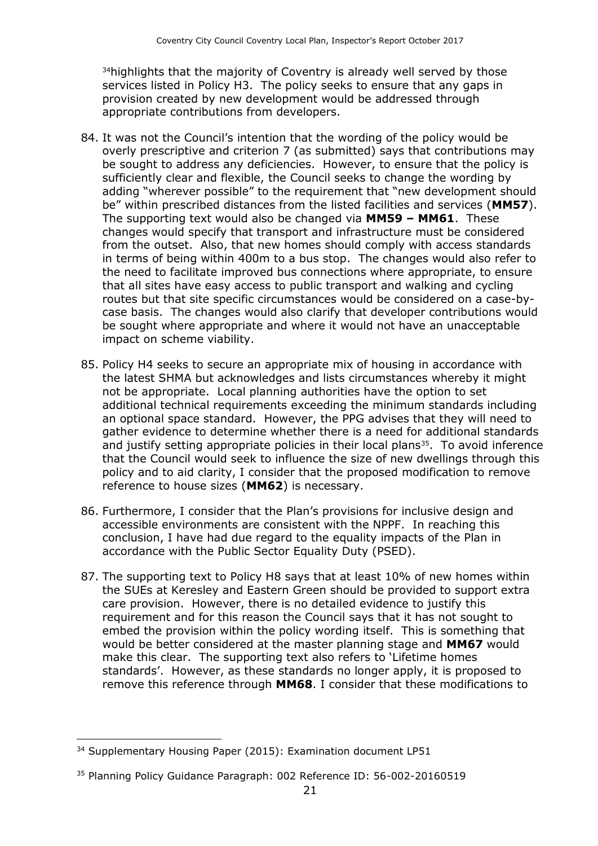<sup>34</sup> highlights that the majority of Coventry is already well served by those services listed in Policy H3. The policy seeks to ensure that any gaps in provision created by new development would be addressed through appropriate contributions from developers.

- 84. It was not the Council's intention that the wording of the policy would be overly prescriptive and criterion 7 (as submitted) says that contributions may be sought to address any deficiencies. However, to ensure that the policy is sufficiently clear and flexible, the Council seeks to change the wording by adding "wherever possible" to the requirement that "new development should be" within prescribed distances from the listed facilities and services (**MM57**). The supporting text would also be changed via **MM59 – MM61**. These changes would specify that transport and infrastructure must be considered from the outset. Also, that new homes should comply with access standards in terms of being within 400m to a bus stop. The changes would also refer to the need to facilitate improved bus connections where appropriate, to ensure that all sites have easy access to public transport and walking and cycling routes but that site specific circumstances would be considered on a case-bycase basis. The changes would also clarify that developer contributions would be sought where appropriate and where it would not have an unacceptable impact on scheme viability.
- 85. Policy H4 seeks to secure an appropriate mix of housing in accordance with the latest SHMA but acknowledges and lists circumstances whereby it might not be appropriate. Local planning authorities have the option to set additional technical requirements exceeding the minimum standards including an optional space standard. However, the PPG advises that they will need to gather evidence to determine whether there is a need for additional standards and justify setting appropriate policies in their local plans<sup>35</sup>. To avoid inference that the Council would seek to influence the size of new dwellings through this policy and to aid clarity, I consider that the proposed modification to remove reference to house sizes (**MM62**) is necessary.
- 86. Furthermore, I consider that the Plan's provisions for inclusive design and accessible environments are consistent with the NPPF. In reaching this conclusion, I have had due regard to the equality impacts of the Plan in accordance with the Public Sector Equality Duty (PSED).
- 87. The supporting text to Policy H8 says that at least 10% of new homes within the SUEs at Keresley and Eastern Green should be provided to support extra care provision. However, there is no detailed evidence to justify this requirement and for this reason the Council says that it has not sought to embed the provision within the policy wording itself. This is something that would be better considered at the master planning stage and **MM67** would make this clear. The supporting text also refers to 'Lifetime homes standards'. However, as these standards no longer apply, it is proposed to remove this reference through **MM68**. I consider that these modifications to

 $\overline{a}$ <sup>34</sup> Supplementary Housing Paper (2015): Examination document LP51

<sup>35</sup> Planning Policy Guidance Paragraph: 002 Reference ID: 56-002-20160519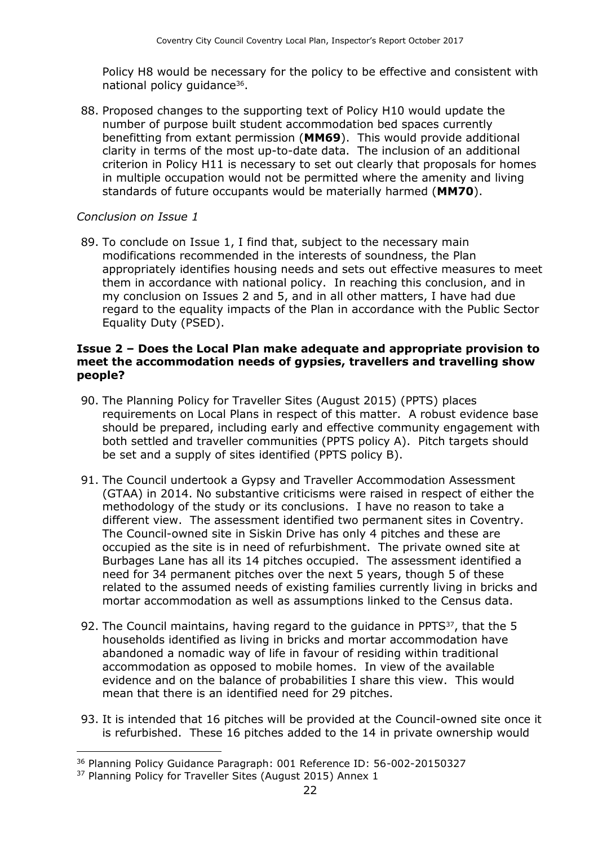Policy H8 would be necessary for the policy to be effective and consistent with national policy guidance<sup>36</sup>.

88. Proposed changes to the supporting text of Policy H10 would update the number of purpose built student accommodation bed spaces currently benefitting from extant permission (**MM69**). This would provide additional clarity in terms of the most up-to-date data. The inclusion of an additional criterion in Policy H11 is necessary to set out clearly that proposals for homes in multiple occupation would not be permitted where the amenity and living standards of future occupants would be materially harmed (**MM70**).

#### *Conclusion on Issue 1*

89. To conclude on Issue 1, I find that, subject to the necessary main modifications recommended in the interests of soundness, the Plan appropriately identifies housing needs and sets out effective measures to meet them in accordance with national policy. In reaching this conclusion, and in my conclusion on Issues 2 and 5, and in all other matters, I have had due regard to the equality impacts of the Plan in accordance with the Public Sector Equality Duty (PSED).

#### **Issue 2 – Does the Local Plan make adequate and appropriate provision to meet the accommodation needs of gypsies, travellers and travelling show people?**

- 90. The Planning Policy for Traveller Sites (August 2015) (PPTS) places requirements on Local Plans in respect of this matter. A robust evidence base should be prepared, including early and effective community engagement with both settled and traveller communities (PPTS policy A). Pitch targets should be set and a supply of sites identified (PPTS policy B).
- 91. The Council undertook a Gypsy and Traveller Accommodation Assessment (GTAA) in 2014. No substantive criticisms were raised in respect of either the methodology of the study or its conclusions. I have no reason to take a different view. The assessment identified two permanent sites in Coventry. The Council-owned site in Siskin Drive has only 4 pitches and these are occupied as the site is in need of refurbishment. The private owned site at Burbages Lane has all its 14 pitches occupied. The assessment identified a need for 34 permanent pitches over the next 5 years, though 5 of these related to the assumed needs of existing families currently living in bricks and mortar accommodation as well as assumptions linked to the Census data.
- 92. The Council maintains, having regard to the guidance in PPTS<sup>37</sup>, that the 5 households identified as living in bricks and mortar accommodation have abandoned a nomadic way of life in favour of residing within traditional accommodation as opposed to mobile homes. In view of the available evidence and on the balance of probabilities I share this view. This would mean that there is an identified need for 29 pitches.
- 93. It is intended that 16 pitches will be provided at the Council-owned site once it is refurbished. These 16 pitches added to the 14 in private ownership would

<sup>36</sup> Planning Policy Guidance Paragraph: 001 Reference ID: 56-002-20150327

<sup>&</sup>lt;sup>37</sup> Planning Policy for Traveller Sites (August 2015) Annex 1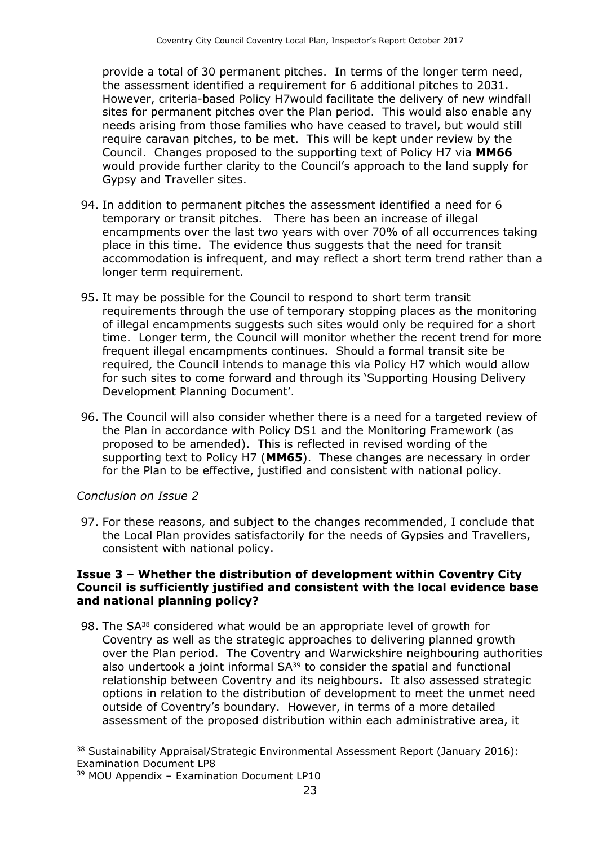provide a total of 30 permanent pitches. In terms of the longer term need, the assessment identified a requirement for 6 additional pitches to 2031. However, criteria-based Policy H7would facilitate the delivery of new windfall sites for permanent pitches over the Plan period. This would also enable any needs arising from those families who have ceased to travel, but would still require caravan pitches, to be met. This will be kept under review by the Council. Changes proposed to the supporting text of Policy H7 via **MM66** would provide further clarity to the Council's approach to the land supply for Gypsy and Traveller sites.

- 94. In addition to permanent pitches the assessment identified a need for 6 temporary or transit pitches. There has been an increase of illegal encampments over the last two years with over 70% of all occurrences taking place in this time. The evidence thus suggests that the need for transit accommodation is infrequent, and may reflect a short term trend rather than a longer term requirement.
- 95. It may be possible for the Council to respond to short term transit requirements through the use of temporary stopping places as the monitoring of illegal encampments suggests such sites would only be required for a short time. Longer term, the Council will monitor whether the recent trend for more frequent illegal encampments continues. Should a formal transit site be required, the Council intends to manage this via Policy H7 which would allow for such sites to come forward and through its 'Supporting Housing Delivery Development Planning Document'.
- 96. The Council will also consider whether there is a need for a targeted review of the Plan in accordance with Policy DS1 and the Monitoring Framework (as proposed to be amended). This is reflected in revised wording of the supporting text to Policy H7 (**MM65**). These changes are necessary in order for the Plan to be effective, justified and consistent with national policy.

#### *Conclusion on Issue 2*

 $\overline{a}$ 

97. For these reasons, and subject to the changes recommended, I conclude that the Local Plan provides satisfactorily for the needs of Gypsies and Travellers, consistent with national policy.

#### **Issue 3 – Whether the distribution of development within Coventry City Council is sufficiently justified and consistent with the local evidence base and national planning policy?**

98. The SA<sup>38</sup> considered what would be an appropriate level of growth for Coventry as well as the strategic approaches to delivering planned growth over the Plan period. The Coventry and Warwickshire neighbouring authorities also undertook a joint informal SA<sup>39</sup> to consider the spatial and functional relationship between Coventry and its neighbours. It also assessed strategic options in relation to the distribution of development to meet the unmet need outside of Coventry's boundary. However, in terms of a more detailed assessment of the proposed distribution within each administrative area, it

<sup>38</sup> Sustainability Appraisal/Strategic Environmental Assessment Report (January 2016): Examination Document LP8

 $39$  MOU Appendix – Examination Document LP10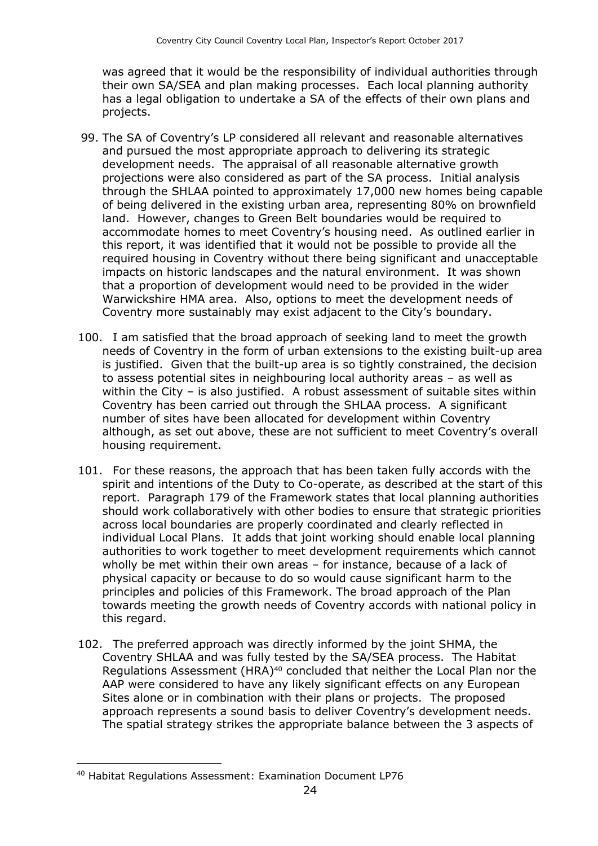was agreed that it would be the responsibility of individual authorities through their own SA/SEA and plan making processes. Each local planning authority has a legal obligation to undertake a SA of the effects of their own plans and projects.

- 99. The SA of Coventry's LP considered all relevant and reasonable alternatives and pursued the most appropriate approach to delivering its strategic development needs. The appraisal of all reasonable alternative growth projections were also considered as part of the SA process. Initial analysis through the SHLAA pointed to approximately 17,000 new homes being capable of being delivered in the existing urban area, representing 80% on brownfield land. However, changes to Green Belt boundaries would be required to accommodate homes to meet Coventry's housing need. As outlined earlier in this report, it was identified that it would not be possible to provide all the required housing in Coventry without there being significant and unacceptable impacts on historic landscapes and the natural environment. It was shown that a proportion of development would need to be provided in the wider Warwickshire HMA area. Also, options to meet the development needs of Coventry more sustainably may exist adjacent to the City's boundary.
- 100. I am satisfied that the broad approach of seeking land to meet the growth needs of Coventry in the form of urban extensions to the existing built-up area is justified. Given that the built-up area is so tightly constrained, the decision to assess potential sites in neighbouring local authority areas – as well as within the City – is also justified. A robust assessment of suitable sites within Coventry has been carried out through the SHLAA process. A significant number of sites have been allocated for development within Coventry although, as set out above, these are not sufficient to meet Coventry's overall housing requirement.
- 101. For these reasons, the approach that has been taken fully accords with the spirit and intentions of the Duty to Co-operate, as described at the start of this report. Paragraph 179 of the Framework states that local planning authorities should work collaboratively with other bodies to ensure that strategic priorities across local boundaries are properly coordinated and clearly reflected in individual Local Plans. It adds that joint working should enable local planning authorities to work together to meet development requirements which cannot wholly be met within their own areas – for instance, because of a lack of physical capacity or because to do so would cause significant harm to the principles and policies of this Framework. The broad approach of the Plan towards meeting the growth needs of Coventry accords with national policy in this regard.
- 102. The preferred approach was directly informed by the joint SHMA, the Coventry SHLAA and was fully tested by the SA/SEA process. The Habitat Regulations Assessment (HRA)<sup>40</sup> concluded that neither the Local Plan nor the AAP were considered to have any likely significant effects on any European Sites alone or in combination with their plans or projects. The proposed approach represents a sound basis to deliver Coventry's development needs. The spatial strategy strikes the appropriate balance between the 3 aspects of

<sup>40</sup> Habitat Regulations Assessment: Examination Document LP76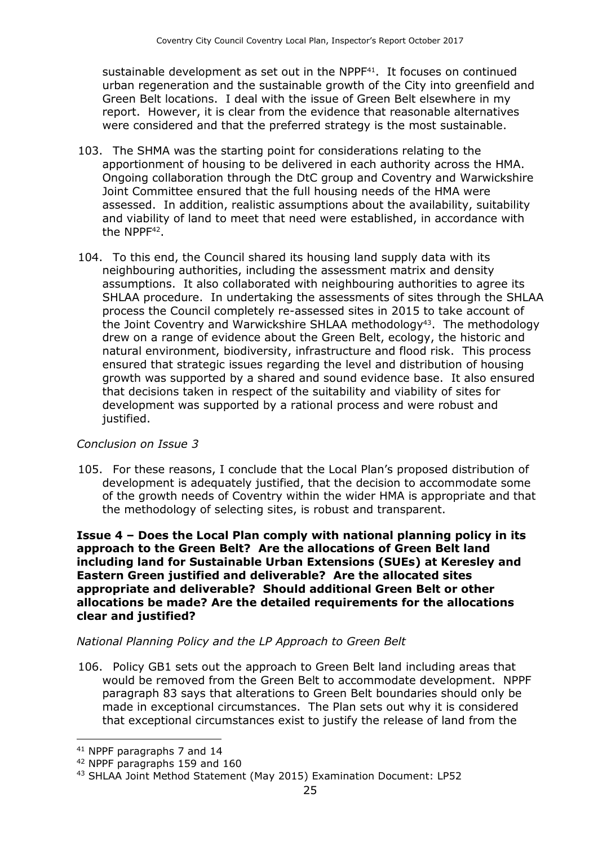sustainable development as set out in the NPPF<sup>41</sup>. It focuses on continued urban regeneration and the sustainable growth of the City into greenfield and Green Belt locations. I deal with the issue of Green Belt elsewhere in my report. However, it is clear from the evidence that reasonable alternatives were considered and that the preferred strategy is the most sustainable.

- 103. The SHMA was the starting point for considerations relating to the apportionment of housing to be delivered in each authority across the HMA. Ongoing collaboration through the DtC group and Coventry and Warwickshire Joint Committee ensured that the full housing needs of the HMA were assessed. In addition, realistic assumptions about the availability, suitability and viability of land to meet that need were established, in accordance with the NPPF<sup>42</sup>.
- 104. To this end, the Council shared its housing land supply data with its neighbouring authorities, including the assessment matrix and density assumptions. It also collaborated with neighbouring authorities to agree its SHLAA procedure. In undertaking the assessments of sites through the SHLAA process the Council completely re-assessed sites in 2015 to take account of the Joint Coventry and Warwickshire SHLAA methodology<sup>43</sup>. The methodology drew on a range of evidence about the Green Belt, ecology, the historic and natural environment, biodiversity, infrastructure and flood risk. This process ensured that strategic issues regarding the level and distribution of housing growth was supported by a shared and sound evidence base. It also ensured that decisions taken in respect of the suitability and viability of sites for development was supported by a rational process and were robust and justified.

#### *Conclusion on Issue 3*

105. For these reasons, I conclude that the Local Plan's proposed distribution of development is adequately justified, that the decision to accommodate some of the growth needs of Coventry within the wider HMA is appropriate and that the methodology of selecting sites, is robust and transparent.

**Issue 4 – Does the Local Plan comply with national planning policy in its approach to the Green Belt? Are the allocations of Green Belt land including land for Sustainable Urban Extensions (SUEs) at Keresley and Eastern Green justified and deliverable? Are the allocated sites appropriate and deliverable? Should additional Green Belt or other allocations be made? Are the detailed requirements for the allocations clear and justified?**

#### *National Planning Policy and the LP Approach to Green Belt*

106. Policy GB1 sets out the approach to Green Belt land including areas that would be removed from the Green Belt to accommodate development. NPPF paragraph 83 says that alterations to Green Belt boundaries should only be made in exceptional circumstances. The Plan sets out why it is considered that exceptional circumstances exist to justify the release of land from the

<sup>41</sup> NPPF paragraphs 7 and 14

<sup>42</sup> NPPF paragraphs 159 and 160

<sup>43</sup> SHLAA Joint Method Statement (May 2015) Examination Document: LP52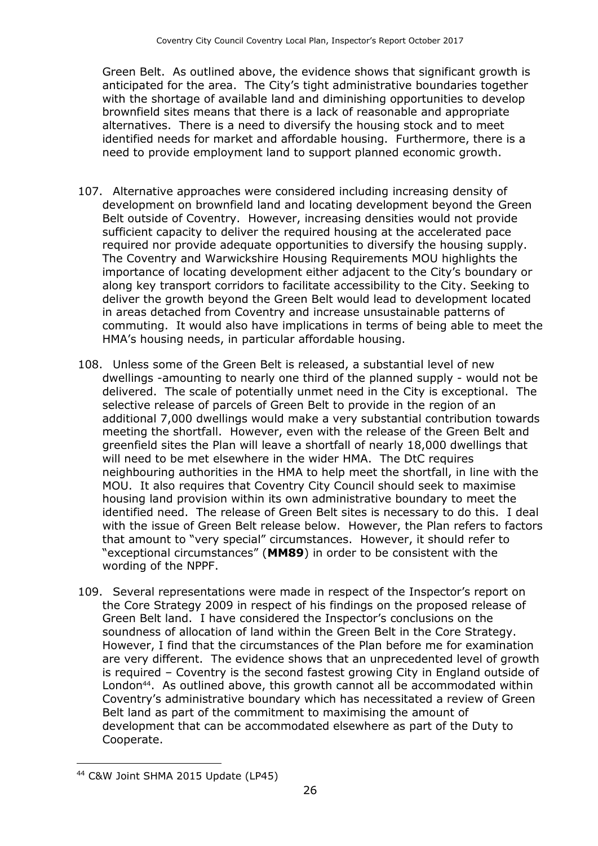Green Belt. As outlined above, the evidence shows that significant growth is anticipated for the area. The City's tight administrative boundaries together with the shortage of available land and diminishing opportunities to develop brownfield sites means that there is a lack of reasonable and appropriate alternatives. There is a need to diversify the housing stock and to meet identified needs for market and affordable housing. Furthermore, there is a need to provide employment land to support planned economic growth.

- 107. Alternative approaches were considered including increasing density of development on brownfield land and locating development beyond the Green Belt outside of Coventry. However, increasing densities would not provide sufficient capacity to deliver the required housing at the accelerated pace required nor provide adequate opportunities to diversify the housing supply. The Coventry and Warwickshire Housing Requirements MOU highlights the importance of locating development either adjacent to the City's boundary or along key transport corridors to facilitate accessibility to the City. Seeking to deliver the growth beyond the Green Belt would lead to development located in areas detached from Coventry and increase unsustainable patterns of commuting. It would also have implications in terms of being able to meet the HMA's housing needs, in particular affordable housing.
- 108. Unless some of the Green Belt is released, a substantial level of new dwellings -amounting to nearly one third of the planned supply - would not be delivered. The scale of potentially unmet need in the City is exceptional. The selective release of parcels of Green Belt to provide in the region of an additional 7,000 dwellings would make a very substantial contribution towards meeting the shortfall. However, even with the release of the Green Belt and greenfield sites the Plan will leave a shortfall of nearly 18,000 dwellings that will need to be met elsewhere in the wider HMA. The DtC requires neighbouring authorities in the HMA to help meet the shortfall, in line with the MOU. It also requires that Coventry City Council should seek to maximise housing land provision within its own administrative boundary to meet the identified need. The release of Green Belt sites is necessary to do this. I deal with the issue of Green Belt release below. However, the Plan refers to factors that amount to "very special" circumstances. However, it should refer to "exceptional circumstances" (**MM89**) in order to be consistent with the wording of the NPPF.
- 109. Several representations were made in respect of the Inspector's report on the Core Strategy 2009 in respect of his findings on the proposed release of Green Belt land. I have considered the Inspector's conclusions on the soundness of allocation of land within the Green Belt in the Core Strategy. However, I find that the circumstances of the Plan before me for examination are very different. The evidence shows that an unprecedented level of growth is required – Coventry is the second fastest growing City in England outside of London<sup>44</sup>. As outlined above, this growth cannot all be accommodated within Coventry's administrative boundary which has necessitated a review of Green Belt land as part of the commitment to maximising the amount of development that can be accommodated elsewhere as part of the Duty to Cooperate.

<sup>44</sup> C&W Joint SHMA 2015 Update (LP45)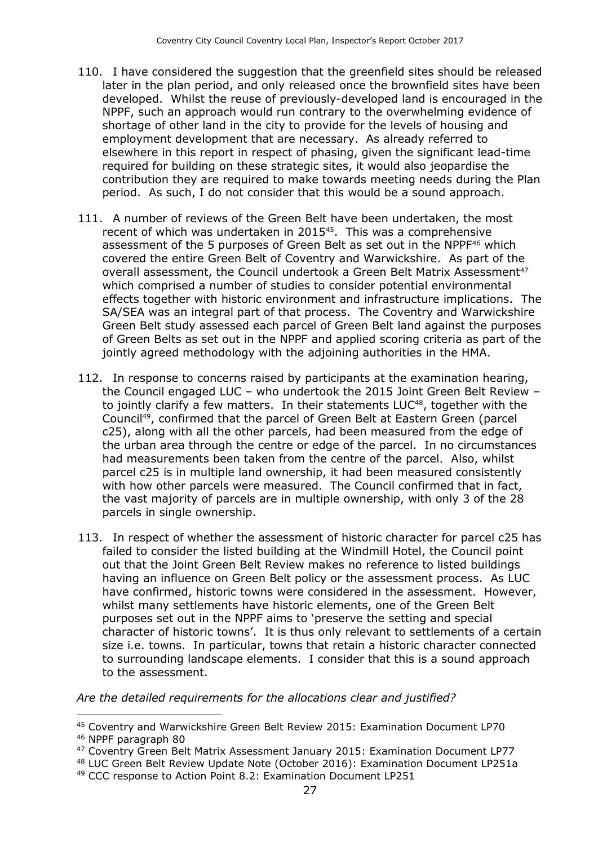- 110. I have considered the suggestion that the greenfield sites should be released later in the plan period, and only released once the brownfield sites have been developed. Whilst the reuse of previously-developed land is encouraged in the NPPF, such an approach would run contrary to the overwhelming evidence of shortage of other land in the city to provide for the levels of housing and employment development that are necessary. As already referred to elsewhere in this report in respect of phasing, given the significant lead-time required for building on these strategic sites, it would also jeopardise the contribution they are required to make towards meeting needs during the Plan period. As such, I do not consider that this would be a sound approach.
- 111. A number of reviews of the Green Belt have been undertaken, the most recent of which was undertaken in 2015<sup>45</sup>. This was a comprehensive assessment of the 5 purposes of Green Belt as set out in the NPPF<sup>46</sup> which covered the entire Green Belt of Coventry and Warwickshire. As part of the overall assessment, the Council undertook a Green Belt Matrix Assessment<sup>47</sup> which comprised a number of studies to consider potential environmental effects together with historic environment and infrastructure implications. The SA/SEA was an integral part of that process. The Coventry and Warwickshire Green Belt study assessed each parcel of Green Belt land against the purposes of Green Belts as set out in the NPPF and applied scoring criteria as part of the jointly agreed methodology with the adjoining authorities in the HMA.
- 112. In response to concerns raised by participants at the examination hearing, the Council engaged LUC – who undertook the 2015 Joint Green Belt Review – to jointly clarify a few matters. In their statements  $LUC<sup>48</sup>$ , together with the Council49, confirmed that the parcel of Green Belt at Eastern Green (parcel c25), along with all the other parcels, had been measured from the edge of the urban area through the centre or edge of the parcel. In no circumstances had measurements been taken from the centre of the parcel. Also, whilst parcel c25 is in multiple land ownership, it had been measured consistently with how other parcels were measured. The Council confirmed that in fact, the vast majority of parcels are in multiple ownership, with only 3 of the 28 parcels in single ownership.
- 113. In respect of whether the assessment of historic character for parcel c25 has failed to consider the listed building at the Windmill Hotel, the Council point out that the Joint Green Belt Review makes no reference to listed buildings having an influence on Green Belt policy or the assessment process. As LUC have confirmed, historic towns were considered in the assessment. However, whilst many settlements have historic elements, one of the Green Belt purposes set out in the NPPF aims to 'preserve the setting and special character of historic towns'. It is thus only relevant to settlements of a certain size i.e. towns. In particular, towns that retain a historic character connected to surrounding landscape elements. I consider that this is a sound approach to the assessment.

#### *Are the detailed requirements for the allocations clear and justified?*

<sup>45</sup> Coventry and Warwickshire Green Belt Review 2015: Examination Document LP70

<sup>46</sup> NPPF paragraph 80

<sup>47</sup> Coventry Green Belt Matrix Assessment January 2015: Examination Document LP77

<sup>48</sup> LUC Green Belt Review Update Note (October 2016): Examination Document LP251a

<sup>49</sup> CCC response to Action Point 8.2: Examination Document LP251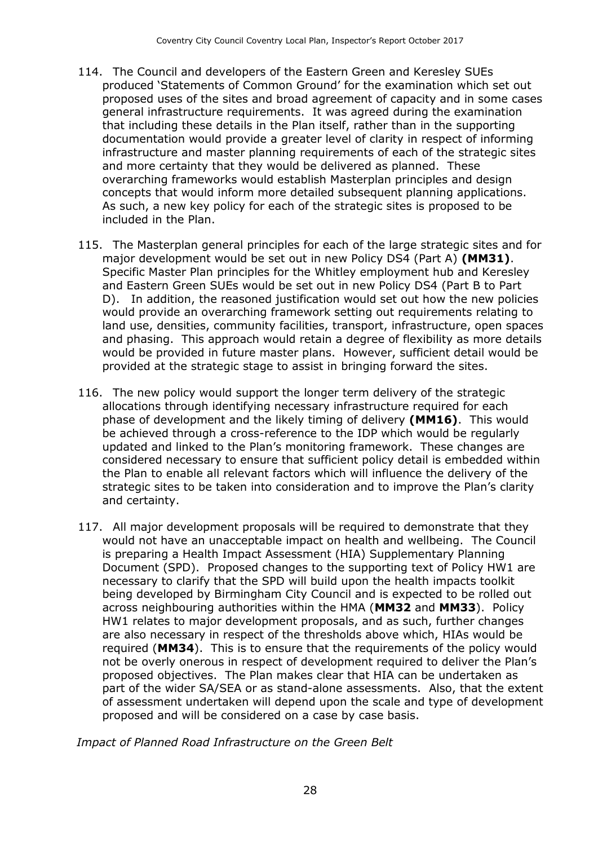- 114. The Council and developers of the Eastern Green and Keresley SUEs produced 'Statements of Common Ground' for the examination which set out proposed uses of the sites and broad agreement of capacity and in some cases general infrastructure requirements. It was agreed during the examination that including these details in the Plan itself, rather than in the supporting documentation would provide a greater level of clarity in respect of informing infrastructure and master planning requirements of each of the strategic sites and more certainty that they would be delivered as planned. These overarching frameworks would establish Masterplan principles and design concepts that would inform more detailed subsequent planning applications. As such, a new key policy for each of the strategic sites is proposed to be included in the Plan.
- 115. The Masterplan general principles for each of the large strategic sites and for major development would be set out in new Policy DS4 (Part A) **(MM31)**. Specific Master Plan principles for the Whitley employment hub and Keresley and Eastern Green SUEs would be set out in new Policy DS4 (Part B to Part D).In addition, the reasoned justification would set out how the new policies would provide an overarching framework setting out requirements relating to land use, densities, community facilities, transport, infrastructure, open spaces and phasing. This approach would retain a degree of flexibility as more details would be provided in future master plans. However, sufficient detail would be provided at the strategic stage to assist in bringing forward the sites.
- 116. The new policy would support the longer term delivery of the strategic allocations through identifying necessary infrastructure required for each phase of development and the likely timing of delivery **(MM16)**. This would be achieved through a cross-reference to the IDP which would be regularly updated and linked to the Plan's monitoring framework. These changes are considered necessary to ensure that sufficient policy detail is embedded within the Plan to enable all relevant factors which will influence the delivery of the strategic sites to be taken into consideration and to improve the Plan's clarity and certainty.
- 117. All major development proposals will be required to demonstrate that they would not have an unacceptable impact on health and wellbeing. The Council is preparing a Health Impact Assessment (HIA) Supplementary Planning Document (SPD). Proposed changes to the supporting text of Policy HW1 are necessary to clarify that the SPD will build upon the health impacts toolkit being developed by Birmingham City Council and is expected to be rolled out across neighbouring authorities within the HMA (**MM32** and **MM33**). Policy HW1 relates to major development proposals, and as such, further changes are also necessary in respect of the thresholds above which, HIAs would be required (**MM34**). This is to ensure that the requirements of the policy would not be overly onerous in respect of development required to deliver the Plan's proposed objectives. The Plan makes clear that HIA can be undertaken as part of the wider SA/SEA or as stand-alone assessments. Also, that the extent of assessment undertaken will depend upon the scale and type of development proposed and will be considered on a case by case basis.

*Impact of Planned Road Infrastructure on the Green Belt*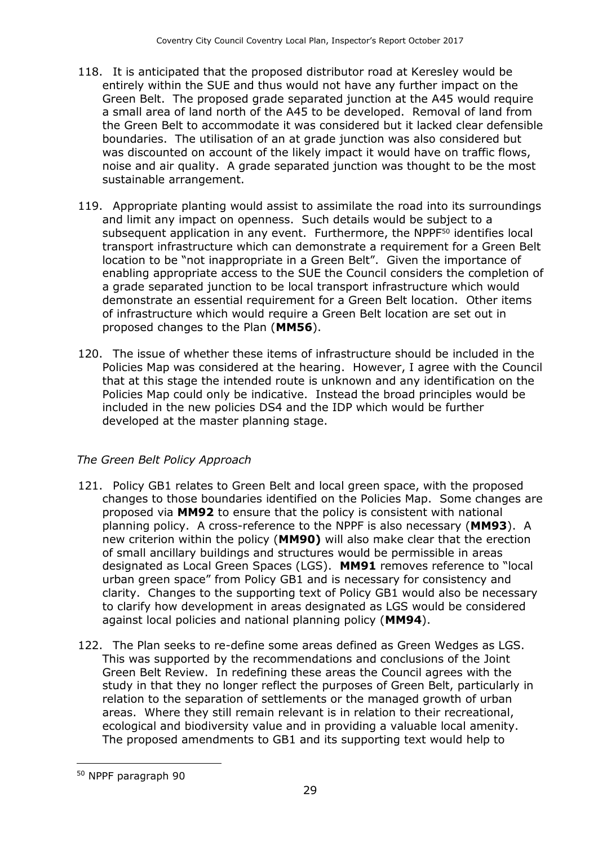- 118. It is anticipated that the proposed distributor road at Keresley would be entirely within the SUE and thus would not have any further impact on the Green Belt. The proposed grade separated junction at the A45 would require a small area of land north of the A45 to be developed. Removal of land from the Green Belt to accommodate it was considered but it lacked clear defensible boundaries. The utilisation of an at grade junction was also considered but was discounted on account of the likely impact it would have on traffic flows, noise and air quality. A grade separated junction was thought to be the most sustainable arrangement.
- 119. Appropriate planting would assist to assimilate the road into its surroundings and limit any impact on openness. Such details would be subject to a subsequent application in any event. Furthermore, the NPPF<sup>50</sup> identifies local transport infrastructure which can demonstrate a requirement for a Green Belt location to be "not inappropriate in a Green Belt". Given the importance of enabling appropriate access to the SUE the Council considers the completion of a grade separated junction to be local transport infrastructure which would demonstrate an essential requirement for a Green Belt location. Other items of infrastructure which would require a Green Belt location are set out in proposed changes to the Plan (**MM56**).
- 120. The issue of whether these items of infrastructure should be included in the Policies Map was considered at the hearing. However, I agree with the Council that at this stage the intended route is unknown and any identification on the Policies Map could only be indicative. Instead the broad principles would be included in the new policies DS4 and the IDP which would be further developed at the master planning stage.

#### *The Green Belt Policy Approach*

- 121. Policy GB1 relates to Green Belt and local green space, with the proposed changes to those boundaries identified on the Policies Map. Some changes are proposed via **MM92** to ensure that the policy is consistent with national planning policy. A cross-reference to the NPPF is also necessary (**MM93**). A new criterion within the policy (**MM90)** will also make clear that the erection of small ancillary buildings and structures would be permissible in areas designated as Local Green Spaces (LGS). **MM91** removes reference to "local urban green space" from Policy GB1 and is necessary for consistency and clarity. Changes to the supporting text of Policy GB1 would also be necessary to clarify how development in areas designated as LGS would be considered against local policies and national planning policy (**MM94**).
- 122. The Plan seeks to re-define some areas defined as Green Wedges as LGS. This was supported by the recommendations and conclusions of the Joint Green Belt Review. In redefining these areas the Council agrees with the study in that they no longer reflect the purposes of Green Belt, particularly in relation to the separation of settlements or the managed growth of urban areas. Where they still remain relevant is in relation to their recreational, ecological and biodiversity value and in providing a valuable local amenity. The proposed amendments to GB1 and its supporting text would help to

<sup>50</sup> NPPF paragraph 90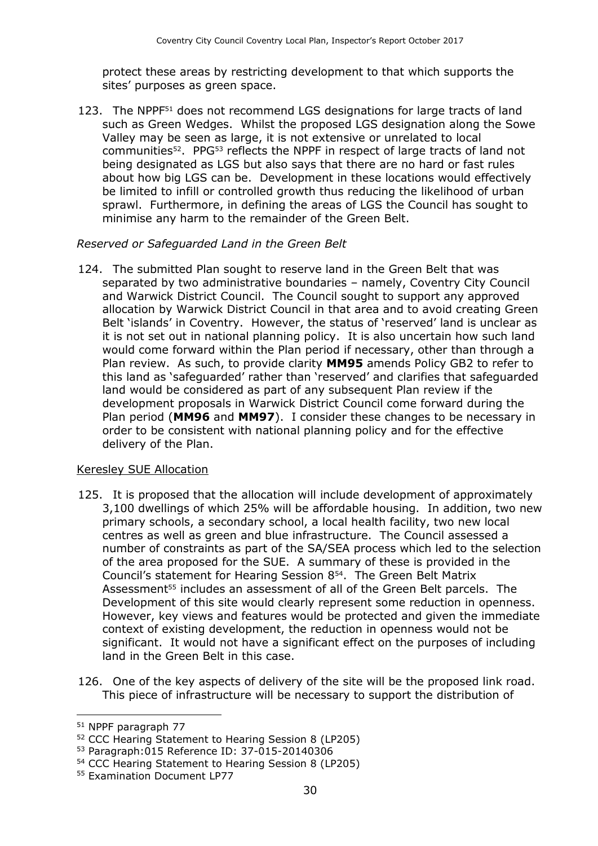protect these areas by restricting development to that which supports the sites' purposes as green space.

123. The NPPF<sup>51</sup> does not recommend LGS designations for large tracts of land such as Green Wedges. Whilst the proposed LGS designation along the Sowe Valley may be seen as large, it is not extensive or unrelated to local communities<sup>52</sup>. PPG<sup>53</sup> reflects the NPPF in respect of large tracts of land not being designated as LGS but also says that there are no hard or fast rules about how big LGS can be. Development in these locations would effectively be limited to infill or controlled growth thus reducing the likelihood of urban sprawl. Furthermore, in defining the areas of LGS the Council has sought to minimise any harm to the remainder of the Green Belt.

#### *Reserved or Safeguarded Land in the Green Belt*

124. The submitted Plan sought to reserve land in the Green Belt that was separated by two administrative boundaries – namely, Coventry City Council and Warwick District Council. The Council sought to support any approved allocation by Warwick District Council in that area and to avoid creating Green Belt 'islands' in Coventry. However, the status of 'reserved' land is unclear as it is not set out in national planning policy. It is also uncertain how such land would come forward within the Plan period if necessary, other than through a Plan review. As such, to provide clarity **MM95** amends Policy GB2 to refer to this land as 'safeguarded' rather than 'reserved' and clarifies that safeguarded land would be considered as part of any subsequent Plan review if the development proposals in Warwick District Council come forward during the Plan period (**MM96** and **MM97**). I consider these changes to be necessary in order to be consistent with national planning policy and for the effective delivery of the Plan.

#### Keresley SUE Allocation

- 125. It is proposed that the allocation will include development of approximately 3,100 dwellings of which 25% will be affordable housing. In addition, two new primary schools, a secondary school, a local health facility, two new local centres as well as green and blue infrastructure. The Council assessed a number of constraints as part of the SA/SEA process which led to the selection of the area proposed for the SUE. A summary of these is provided in the Council's statement for Hearing Session 8<sup>54</sup> . The Green Belt Matrix Assessment<sup>55</sup> includes an assessment of all of the Green Belt parcels. The Development of this site would clearly represent some reduction in openness. However, key views and features would be protected and given the immediate context of existing development, the reduction in openness would not be significant. It would not have a significant effect on the purposes of including land in the Green Belt in this case.
- 126. One of the key aspects of delivery of the site will be the proposed link road. This piece of infrastructure will be necessary to support the distribution of

<sup>51</sup> NPPF paragraph 77

<sup>52</sup> CCC Hearing Statement to Hearing Session 8 (LP205)

<sup>53</sup> Paragraph:015 Reference ID: 37-015-20140306

<sup>54</sup> CCC Hearing Statement to Hearing Session 8 (LP205)

<sup>55</sup> Examination Document LP77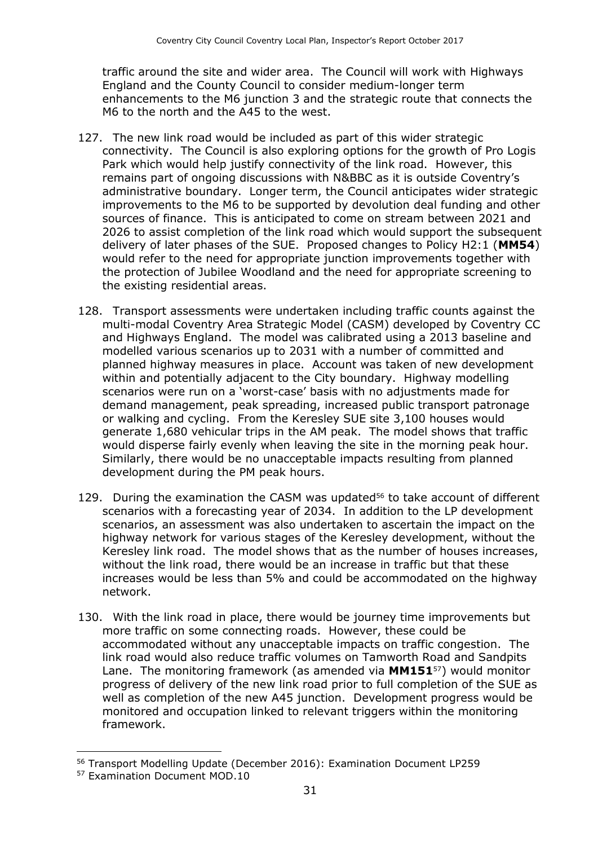traffic around the site and wider area. The Council will work with Highways England and the County Council to consider medium-longer term enhancements to the M6 junction 3 and the strategic route that connects the M6 to the north and the A45 to the west.

- 127. The new link road would be included as part of this wider strategic connectivity. The Council is also exploring options for the growth of Pro Logis Park which would help justify connectivity of the link road. However, this remains part of ongoing discussions with N&BBC as it is outside Coventry's administrative boundary. Longer term, the Council anticipates wider strategic improvements to the M6 to be supported by devolution deal funding and other sources of finance. This is anticipated to come on stream between 2021 and 2026 to assist completion of the link road which would support the subsequent delivery of later phases of the SUE. Proposed changes to Policy H2:1 (**MM54**) would refer to the need for appropriate junction improvements together with the protection of Jubilee Woodland and the need for appropriate screening to the existing residential areas.
- 128. Transport assessments were undertaken including traffic counts against the multi-modal Coventry Area Strategic Model (CASM) developed by Coventry CC and Highways England. The model was calibrated using a 2013 baseline and modelled various scenarios up to 2031 with a number of committed and planned highway measures in place. Account was taken of new development within and potentially adjacent to the City boundary. Highway modelling scenarios were run on a 'worst-case' basis with no adjustments made for demand management, peak spreading, increased public transport patronage or walking and cycling. From the Keresley SUE site 3,100 houses would generate 1,680 vehicular trips in the AM peak. The model shows that traffic would disperse fairly evenly when leaving the site in the morning peak hour. Similarly, there would be no unacceptable impacts resulting from planned development during the PM peak hours.
- 129. During the examination the CASM was updated<sup>56</sup> to take account of different scenarios with a forecasting year of 2034. In addition to the LP development scenarios, an assessment was also undertaken to ascertain the impact on the highway network for various stages of the Keresley development, without the Keresley link road. The model shows that as the number of houses increases, without the link road, there would be an increase in traffic but that these increases would be less than 5% and could be accommodated on the highway network.
- 130. With the link road in place, there would be journey time improvements but more traffic on some connecting roads. However, these could be accommodated without any unacceptable impacts on traffic congestion. The link road would also reduce traffic volumes on Tamworth Road and Sandpits Lane. The monitoring framework (as amended via **MM151**57) would monitor progress of delivery of the new link road prior to full completion of the SUE as well as completion of the new A45 junction. Development progress would be monitored and occupation linked to relevant triggers within the monitoring framework.

<sup>56</sup> Transport Modelling Update (December 2016): Examination Document LP259

<sup>57</sup> Examination Document MOD.10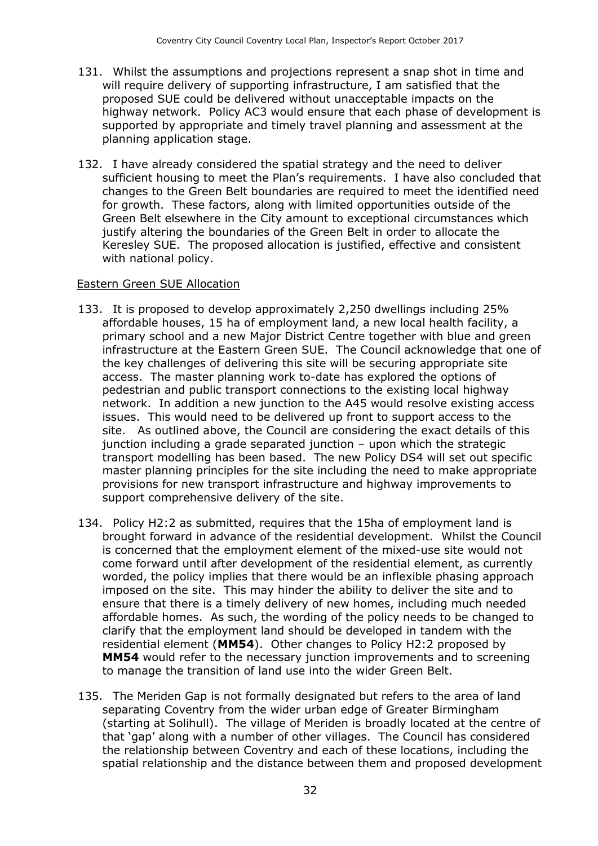- 131. Whilst the assumptions and projections represent a snap shot in time and will require delivery of supporting infrastructure, I am satisfied that the proposed SUE could be delivered without unacceptable impacts on the highway network. Policy AC3 would ensure that each phase of development is supported by appropriate and timely travel planning and assessment at the planning application stage.
- 132. I have already considered the spatial strategy and the need to deliver sufficient housing to meet the Plan's requirements. I have also concluded that changes to the Green Belt boundaries are required to meet the identified need for growth. These factors, along with limited opportunities outside of the Green Belt elsewhere in the City amount to exceptional circumstances which justify altering the boundaries of the Green Belt in order to allocate the Keresley SUE. The proposed allocation is justified, effective and consistent with national policy.

#### Eastern Green SUE Allocation

- 133. It is proposed to develop approximately 2,250 dwellings including 25% affordable houses, 15 ha of employment land, a new local health facility, a primary school and a new Major District Centre together with blue and green infrastructure at the Eastern Green SUE. The Council acknowledge that one of the key challenges of delivering this site will be securing appropriate site access. The master planning work to-date has explored the options of pedestrian and public transport connections to the existing local highway network. In addition a new junction to the A45 would resolve existing access issues. This would need to be delivered up front to support access to the site. As outlined above, the Council are considering the exact details of this junction including a grade separated junction – upon which the strategic transport modelling has been based. The new Policy DS4 will set out specific master planning principles for the site including the need to make appropriate provisions for new transport infrastructure and highway improvements to support comprehensive delivery of the site.
- 134. Policy H2:2 as submitted, requires that the 15ha of employment land is brought forward in advance of the residential development. Whilst the Council is concerned that the employment element of the mixed-use site would not come forward until after development of the residential element, as currently worded, the policy implies that there would be an inflexible phasing approach imposed on the site. This may hinder the ability to deliver the site and to ensure that there is a timely delivery of new homes, including much needed affordable homes. As such, the wording of the policy needs to be changed to clarify that the employment land should be developed in tandem with the residential element (**MM54**). Other changes to Policy H2:2 proposed by **MM54** would refer to the necessary junction improvements and to screening to manage the transition of land use into the wider Green Belt.
- 135. The Meriden Gap is not formally designated but refers to the area of land separating Coventry from the wider urban edge of Greater Birmingham (starting at Solihull). The village of Meriden is broadly located at the centre of that 'gap' along with a number of other villages. The Council has considered the relationship between Coventry and each of these locations, including the spatial relationship and the distance between them and proposed development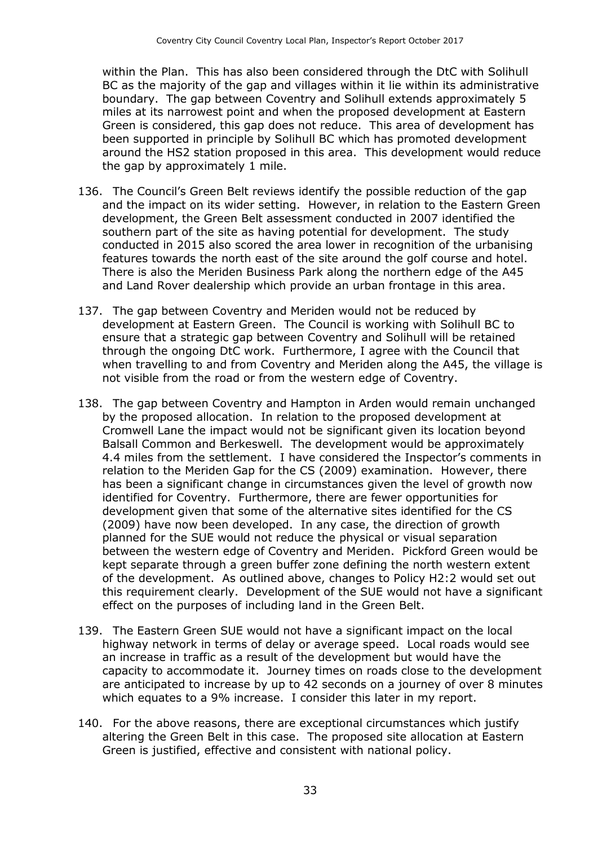within the Plan. This has also been considered through the DtC with Solihull BC as the majority of the gap and villages within it lie within its administrative boundary. The gap between Coventry and Solihull extends approximately 5 miles at its narrowest point and when the proposed development at Eastern Green is considered, this gap does not reduce. This area of development has been supported in principle by Solihull BC which has promoted development around the HS2 station proposed in this area. This development would reduce the gap by approximately 1 mile.

- 136. The Council's Green Belt reviews identify the possible reduction of the gap and the impact on its wider setting. However, in relation to the Eastern Green development, the Green Belt assessment conducted in 2007 identified the southern part of the site as having potential for development. The study conducted in 2015 also scored the area lower in recognition of the urbanising features towards the north east of the site around the golf course and hotel. There is also the Meriden Business Park along the northern edge of the A45 and Land Rover dealership which provide an urban frontage in this area.
- 137. The gap between Coventry and Meriden would not be reduced by development at Eastern Green. The Council is working with Solihull BC to ensure that a strategic gap between Coventry and Solihull will be retained through the ongoing DtC work. Furthermore, I agree with the Council that when travelling to and from Coventry and Meriden along the A45, the village is not visible from the road or from the western edge of Coventry.
- 138. The gap between Coventry and Hampton in Arden would remain unchanged by the proposed allocation. In relation to the proposed development at Cromwell Lane the impact would not be significant given its location beyond Balsall Common and Berkeswell. The development would be approximately 4.4 miles from the settlement. I have considered the Inspector's comments in relation to the Meriden Gap for the CS (2009) examination. However, there has been a significant change in circumstances given the level of growth now identified for Coventry. Furthermore, there are fewer opportunities for development given that some of the alternative sites identified for the CS (2009) have now been developed. In any case, the direction of growth planned for the SUE would not reduce the physical or visual separation between the western edge of Coventry and Meriden. Pickford Green would be kept separate through a green buffer zone defining the north western extent of the development. As outlined above, changes to Policy H2:2 would set out this requirement clearly. Development of the SUE would not have a significant effect on the purposes of including land in the Green Belt.
- 139. The Eastern Green SUE would not have a significant impact on the local highway network in terms of delay or average speed. Local roads would see an increase in traffic as a result of the development but would have the capacity to accommodate it. Journey times on roads close to the development are anticipated to increase by up to 42 seconds on a journey of over 8 minutes which equates to a 9% increase. I consider this later in my report.
- 140. For the above reasons, there are exceptional circumstances which justify altering the Green Belt in this case. The proposed site allocation at Eastern Green is justified, effective and consistent with national policy.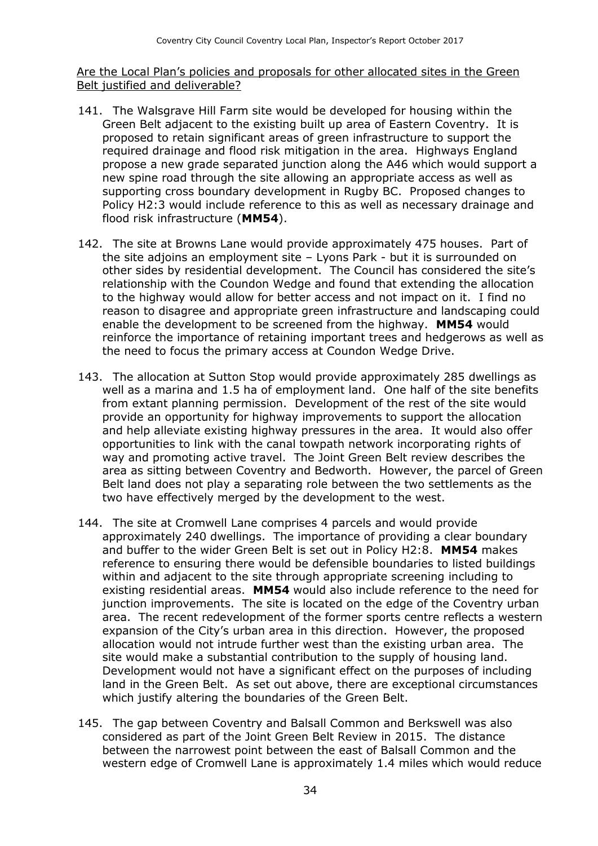Are the Local Plan's policies and proposals for other allocated sites in the Green Belt justified and deliverable?

- 141. The Walsgrave Hill Farm site would be developed for housing within the Green Belt adjacent to the existing built up area of Eastern Coventry. It is proposed to retain significant areas of green infrastructure to support the required drainage and flood risk mitigation in the area. Highways England propose a new grade separated junction along the A46 which would support a new spine road through the site allowing an appropriate access as well as supporting cross boundary development in Rugby BC. Proposed changes to Policy H2:3 would include reference to this as well as necessary drainage and flood risk infrastructure (**MM54**).
- 142. The site at Browns Lane would provide approximately 475 houses. Part of the site adjoins an employment site – Lyons Park - but it is surrounded on other sides by residential development. The Council has considered the site's relationship with the Coundon Wedge and found that extending the allocation to the highway would allow for better access and not impact on it. I find no reason to disagree and appropriate green infrastructure and landscaping could enable the development to be screened from the highway. **MM54** would reinforce the importance of retaining important trees and hedgerows as well as the need to focus the primary access at Coundon Wedge Drive.
- 143. The allocation at Sutton Stop would provide approximately 285 dwellings as well as a marina and 1.5 ha of employment land. One half of the site benefits from extant planning permission. Development of the rest of the site would provide an opportunity for highway improvements to support the allocation and help alleviate existing highway pressures in the area. It would also offer opportunities to link with the canal towpath network incorporating rights of way and promoting active travel. The Joint Green Belt review describes the area as sitting between Coventry and Bedworth. However, the parcel of Green Belt land does not play a separating role between the two settlements as the two have effectively merged by the development to the west.
- 144. The site at Cromwell Lane comprises 4 parcels and would provide approximately 240 dwellings. The importance of providing a clear boundary and buffer to the wider Green Belt is set out in Policy H2:8. **MM54** makes reference to ensuring there would be defensible boundaries to listed buildings within and adjacent to the site through appropriate screening including to existing residential areas. **MM54** would also include reference to the need for junction improvements. The site is located on the edge of the Coventry urban area. The recent redevelopment of the former sports centre reflects a western expansion of the City's urban area in this direction. However, the proposed allocation would not intrude further west than the existing urban area. The site would make a substantial contribution to the supply of housing land. Development would not have a significant effect on the purposes of including land in the Green Belt. As set out above, there are exceptional circumstances which justify altering the boundaries of the Green Belt.
- 145. The gap between Coventry and Balsall Common and Berkswell was also considered as part of the Joint Green Belt Review in 2015. The distance between the narrowest point between the east of Balsall Common and the western edge of Cromwell Lane is approximately 1.4 miles which would reduce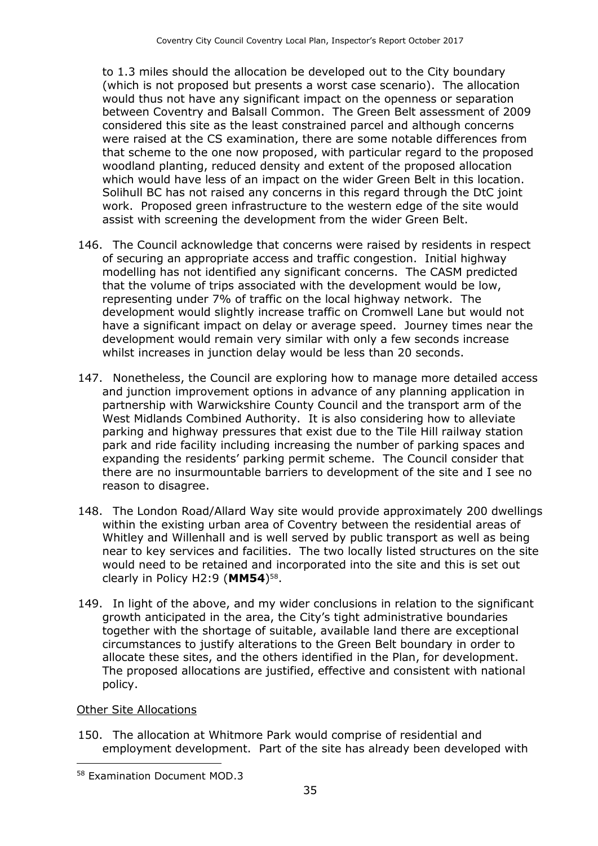to 1.3 miles should the allocation be developed out to the City boundary (which is not proposed but presents a worst case scenario). The allocation would thus not have any significant impact on the openness or separation between Coventry and Balsall Common. The Green Belt assessment of 2009 considered this site as the least constrained parcel and although concerns were raised at the CS examination, there are some notable differences from that scheme to the one now proposed, with particular regard to the proposed woodland planting, reduced density and extent of the proposed allocation which would have less of an impact on the wider Green Belt in this location. Solihull BC has not raised any concerns in this regard through the DtC joint work. Proposed green infrastructure to the western edge of the site would assist with screening the development from the wider Green Belt.

- 146. The Council acknowledge that concerns were raised by residents in respect of securing an appropriate access and traffic congestion. Initial highway modelling has not identified any significant concerns. The CASM predicted that the volume of trips associated with the development would be low, representing under 7% of traffic on the local highway network. The development would slightly increase traffic on Cromwell Lane but would not have a significant impact on delay or average speed. Journey times near the development would remain very similar with only a few seconds increase whilst increases in junction delay would be less than 20 seconds.
- 147. Nonetheless, the Council are exploring how to manage more detailed access and junction improvement options in advance of any planning application in partnership with Warwickshire County Council and the transport arm of the West Midlands Combined Authority. It is also considering how to alleviate parking and highway pressures that exist due to the Tile Hill railway station park and ride facility including increasing the number of parking spaces and expanding the residents' parking permit scheme. The Council consider that there are no insurmountable barriers to development of the site and I see no reason to disagree.
- 148. The London Road/Allard Way site would provide approximately 200 dwellings within the existing urban area of Coventry between the residential areas of Whitley and Willenhall and is well served by public transport as well as being near to key services and facilities. The two locally listed structures on the site would need to be retained and incorporated into the site and this is set out clearly in Policy H2:9 (**MM54**) 58 .
- 149. In light of the above, and my wider conclusions in relation to the significant growth anticipated in the area, the City's tight administrative boundaries together with the shortage of suitable, available land there are exceptional circumstances to justify alterations to the Green Belt boundary in order to allocate these sites, and the others identified in the Plan, for development. The proposed allocations are justified, effective and consistent with national policy.

Other Site Allocations

 $\overline{a}$ 

150. The allocation at Whitmore Park would comprise of residential and employment development. Part of the site has already been developed with

<sup>58</sup> Examination Document MOD.3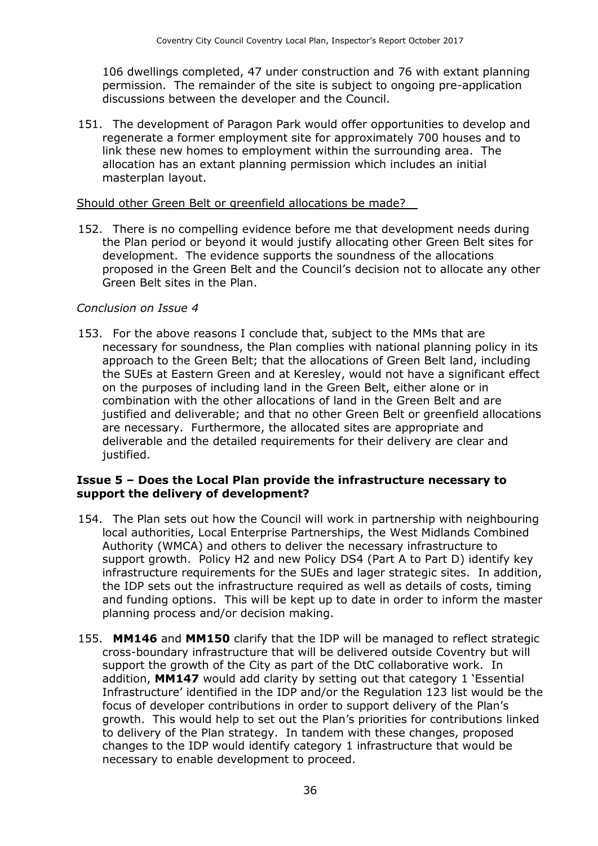106 dwellings completed, 47 under construction and 76 with extant planning permission. The remainder of the site is subject to ongoing pre-application discussions between the developer and the Council.

151. The development of Paragon Park would offer opportunities to develop and regenerate a former employment site for approximately 700 houses and to link these new homes to employment within the surrounding area. The allocation has an extant planning permission which includes an initial masterplan layout.

#### Should other Green Belt or greenfield allocations be made?

152. There is no compelling evidence before me that development needs during the Plan period or beyond it would justify allocating other Green Belt sites for development. The evidence supports the soundness of the allocations proposed in the Green Belt and the Council's decision not to allocate any other Green Belt sites in the Plan.

#### *Conclusion on Issue 4*

153. For the above reasons I conclude that, subject to the MMs that are necessary for soundness, the Plan complies with national planning policy in its approach to the Green Belt; that the allocations of Green Belt land, including the SUEs at Eastern Green and at Keresley, would not have a significant effect on the purposes of including land in the Green Belt, either alone or in combination with the other allocations of land in the Green Belt and are justified and deliverable; and that no other Green Belt or greenfield allocations are necessary. Furthermore, the allocated sites are appropriate and deliverable and the detailed requirements for their delivery are clear and justified.

#### **Issue 5 – Does the Local Plan provide the infrastructure necessary to support the delivery of development?**

- 154. The Plan sets out how the Council will work in partnership with neighbouring local authorities, Local Enterprise Partnerships, the West Midlands Combined Authority (WMCA) and others to deliver the necessary infrastructure to support growth. Policy H2 and new Policy DS4 (Part A to Part D) identify key infrastructure requirements for the SUEs and lager strategic sites. In addition, the IDP sets out the infrastructure required as well as details of costs, timing and funding options. This will be kept up to date in order to inform the master planning process and/or decision making.
- 155. **MM146** and **MM150** clarify that the IDP will be managed to reflect strategic cross-boundary infrastructure that will be delivered outside Coventry but will support the growth of the City as part of the DtC collaborative work. In addition, **MM147** would add clarity by setting out that category 1 'Essential Infrastructure' identified in the IDP and/or the Regulation 123 list would be the focus of developer contributions in order to support delivery of the Plan's growth. This would help to set out the Plan's priorities for contributions linked to delivery of the Plan strategy. In tandem with these changes, proposed changes to the IDP would identify category 1 infrastructure that would be necessary to enable development to proceed.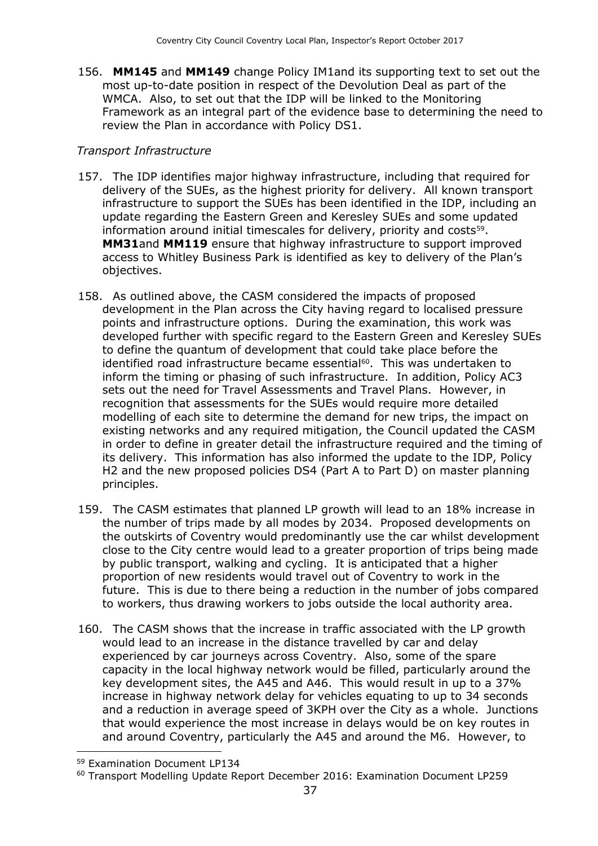156. **MM145** and **MM149** change Policy IM1and its supporting text to set out the most up-to-date position in respect of the Devolution Deal as part of the WMCA. Also, to set out that the IDP will be linked to the Monitoring Framework as an integral part of the evidence base to determining the need to review the Plan in accordance with Policy DS1.

#### *Transport Infrastructure*

- 157. The IDP identifies major highway infrastructure, including that required for delivery of the SUEs, as the highest priority for delivery. All known transport infrastructure to support the SUEs has been identified in the IDP, including an update regarding the Eastern Green and Keresley SUEs and some updated information around initial timescales for delivery, priority and costs<sup>59</sup>. **MM31**and **MM119** ensure that highway infrastructure to support improved access to Whitley Business Park is identified as key to delivery of the Plan's objectives.
- 158. As outlined above, the CASM considered the impacts of proposed development in the Plan across the City having regard to localised pressure points and infrastructure options. During the examination, this work was developed further with specific regard to the Eastern Green and Keresley SUEs to define the quantum of development that could take place before the identified road infrastructure became essential<sup>60</sup>. This was undertaken to inform the timing or phasing of such infrastructure. In addition, Policy AC3 sets out the need for Travel Assessments and Travel Plans. However, in recognition that assessments for the SUEs would require more detailed modelling of each site to determine the demand for new trips, the impact on existing networks and any required mitigation, the Council updated the CASM in order to define in greater detail the infrastructure required and the timing of its delivery. This information has also informed the update to the IDP, Policy H2 and the new proposed policies DS4 (Part A to Part D) on master planning principles.
- 159. The CASM estimates that planned LP growth will lead to an 18% increase in the number of trips made by all modes by 2034. Proposed developments on the outskirts of Coventry would predominantly use the car whilst development close to the City centre would lead to a greater proportion of trips being made by public transport, walking and cycling. It is anticipated that a higher proportion of new residents would travel out of Coventry to work in the future. This is due to there being a reduction in the number of jobs compared to workers, thus drawing workers to jobs outside the local authority area.
- 160. The CASM shows that the increase in traffic associated with the LP growth would lead to an increase in the distance travelled by car and delay experienced by car journeys across Coventry. Also, some of the spare capacity in the local highway network would be filled, particularly around the key development sites, the A45 and A46. This would result in up to a 37% increase in highway network delay for vehicles equating to up to 34 seconds and a reduction in average speed of 3KPH over the City as a whole. Junctions that would experience the most increase in delays would be on key routes in and around Coventry, particularly the A45 and around the M6. However, to

<sup>59</sup> Examination Document LP134

<sup>60</sup> Transport Modelling Update Report December 2016: Examination Document LP259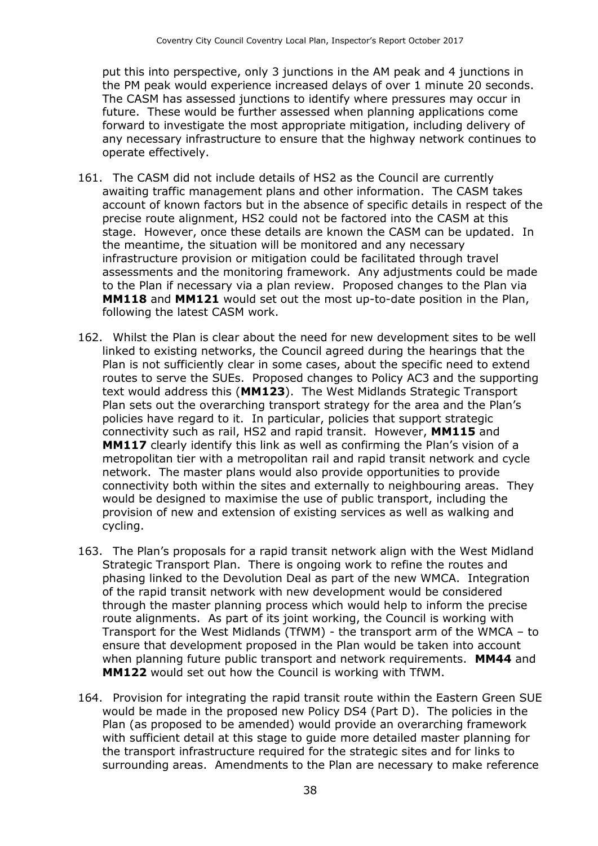put this into perspective, only 3 junctions in the AM peak and 4 junctions in the PM peak would experience increased delays of over 1 minute 20 seconds. The CASM has assessed junctions to identify where pressures may occur in future. These would be further assessed when planning applications come forward to investigate the most appropriate mitigation, including delivery of any necessary infrastructure to ensure that the highway network continues to operate effectively.

- 161. The CASM did not include details of HS2 as the Council are currently awaiting traffic management plans and other information. The CASM takes account of known factors but in the absence of specific details in respect of the precise route alignment, HS2 could not be factored into the CASM at this stage. However, once these details are known the CASM can be updated. In the meantime, the situation will be monitored and any necessary infrastructure provision or mitigation could be facilitated through travel assessments and the monitoring framework. Any adjustments could be made to the Plan if necessary via a plan review. Proposed changes to the Plan via **MM118** and **MM121** would set out the most up-to-date position in the Plan, following the latest CASM work.
- 162. Whilst the Plan is clear about the need for new development sites to be well linked to existing networks, the Council agreed during the hearings that the Plan is not sufficiently clear in some cases, about the specific need to extend routes to serve the SUEs. Proposed changes to Policy AC3 and the supporting text would address this (**MM123**). The West Midlands Strategic Transport Plan sets out the overarching transport strategy for the area and the Plan's policies have regard to it. In particular, policies that support strategic connectivity such as rail, HS2 and rapid transit. However, **MM115** and **MM117** clearly identify this link as well as confirming the Plan's vision of a metropolitan tier with a metropolitan rail and rapid transit network and cycle network. The master plans would also provide opportunities to provide connectivity both within the sites and externally to neighbouring areas. They would be designed to maximise the use of public transport, including the provision of new and extension of existing services as well as walking and cycling.
- 163. The Plan's proposals for a rapid transit network align with the West Midland Strategic Transport Plan. There is ongoing work to refine the routes and phasing linked to the Devolution Deal as part of the new WMCA. Integration of the rapid transit network with new development would be considered through the master planning process which would help to inform the precise route alignments. As part of its joint working, the Council is working with Transport for the West Midlands (TfWM) - the transport arm of the WMCA – to ensure that development proposed in the Plan would be taken into account when planning future public transport and network requirements. **MM44** and **MM122** would set out how the Council is working with TfWM.
- 164. Provision for integrating the rapid transit route within the Eastern Green SUE would be made in the proposed new Policy DS4 (Part D). The policies in the Plan (as proposed to be amended) would provide an overarching framework with sufficient detail at this stage to guide more detailed master planning for the transport infrastructure required for the strategic sites and for links to surrounding areas. Amendments to the Plan are necessary to make reference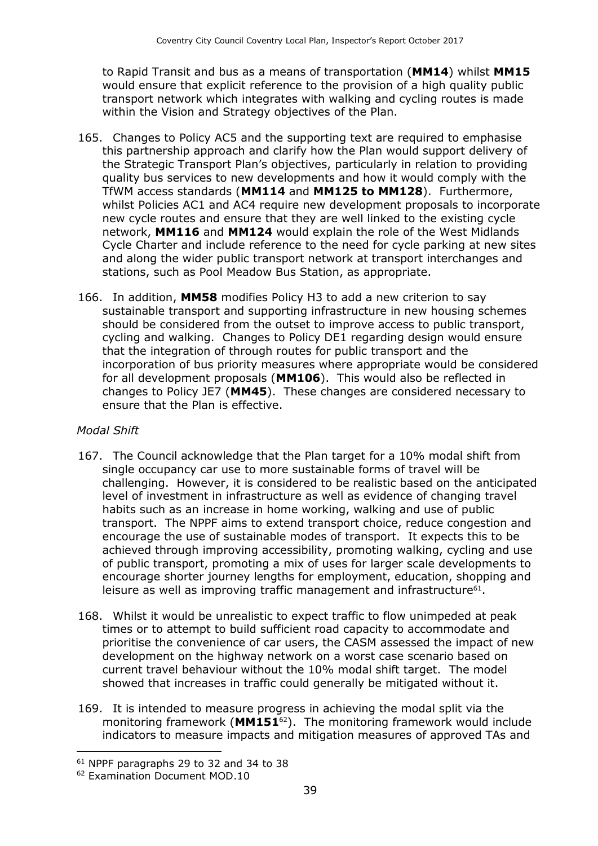to Rapid Transit and bus as a means of transportation (**MM14**) whilst **MM15** would ensure that explicit reference to the provision of a high quality public transport network which integrates with walking and cycling routes is made within the Vision and Strategy objectives of the Plan.

- 165. Changes to Policy AC5 and the supporting text are required to emphasise this partnership approach and clarify how the Plan would support delivery of the Strategic Transport Plan's objectives, particularly in relation to providing quality bus services to new developments and how it would comply with the TfWM access standards (**MM114** and **MM125 to MM128**). Furthermore, whilst Policies AC1 and AC4 require new development proposals to incorporate new cycle routes and ensure that they are well linked to the existing cycle network, **MM116** and **MM124** would explain the role of the West Midlands Cycle Charter and include reference to the need for cycle parking at new sites and along the wider public transport network at transport interchanges and stations, such as Pool Meadow Bus Station, as appropriate.
- 166. In addition, **MM58** modifies Policy H3 to add a new criterion to say sustainable transport and supporting infrastructure in new housing schemes should be considered from the outset to improve access to public transport, cycling and walking. Changes to Policy DE1 regarding design would ensure that the integration of through routes for public transport and the incorporation of bus priority measures where appropriate would be considered for all development proposals (**MM106**). This would also be reflected in changes to Policy JE7 (**MM45**). These changes are considered necessary to ensure that the Plan is effective.

#### *Modal Shift*

- 167. The Council acknowledge that the Plan target for a 10% modal shift from single occupancy car use to more sustainable forms of travel will be challenging. However, it is considered to be realistic based on the anticipated level of investment in infrastructure as well as evidence of changing travel habits such as an increase in home working, walking and use of public transport. The NPPF aims to extend transport choice, reduce congestion and encourage the use of sustainable modes of transport. It expects this to be achieved through improving accessibility, promoting walking, cycling and use of public transport, promoting a mix of uses for larger scale developments to encourage shorter journey lengths for employment, education, shopping and leisure as well as improving traffic management and infrastructure<sup>61</sup>.
- 168. Whilst it would be unrealistic to expect traffic to flow unimpeded at peak times or to attempt to build sufficient road capacity to accommodate and prioritise the convenience of car users, the CASM assessed the impact of new development on the highway network on a worst case scenario based on current travel behaviour without the 10% modal shift target. The model showed that increases in traffic could generally be mitigated without it.
- 169. It is intended to measure progress in achieving the modal split via the monitoring framework (**MM151**62). The monitoring framework would include indicators to measure impacts and mitigation measures of approved TAs and

<sup>61</sup> NPPF paragraphs 29 to 32 and 34 to 38

<sup>62</sup> Examination Document MOD.10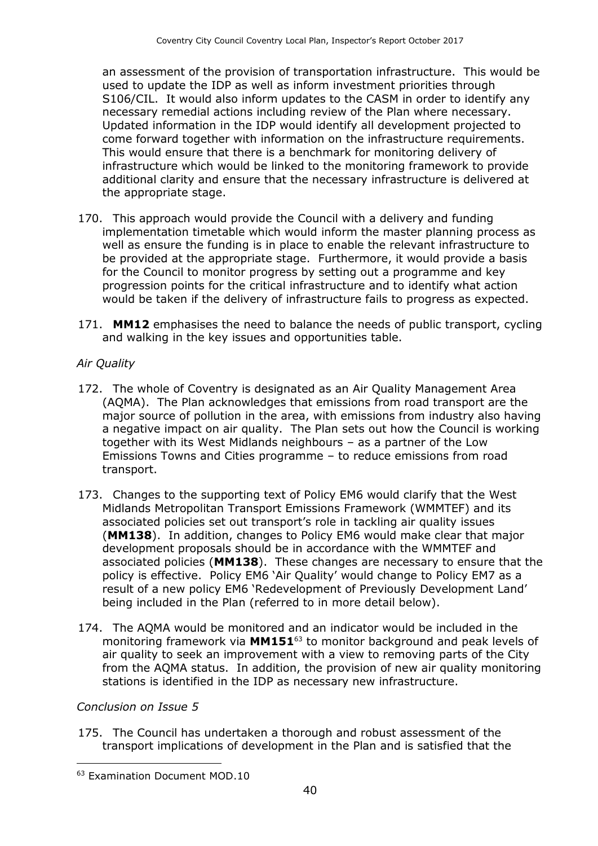an assessment of the provision of transportation infrastructure. This would be used to update the IDP as well as inform investment priorities through S106/CIL. It would also inform updates to the CASM in order to identify any necessary remedial actions including review of the Plan where necessary. Updated information in the IDP would identify all development projected to come forward together with information on the infrastructure requirements. This would ensure that there is a benchmark for monitoring delivery of infrastructure which would be linked to the monitoring framework to provide additional clarity and ensure that the necessary infrastructure is delivered at the appropriate stage.

- 170. This approach would provide the Council with a delivery and funding implementation timetable which would inform the master planning process as well as ensure the funding is in place to enable the relevant infrastructure to be provided at the appropriate stage. Furthermore, it would provide a basis for the Council to monitor progress by setting out a programme and key progression points for the critical infrastructure and to identify what action would be taken if the delivery of infrastructure fails to progress as expected.
- 171. **MM12** emphasises the need to balance the needs of public transport, cycling and walking in the key issues and opportunities table.

#### *Air Quality*

- 172. The whole of Coventry is designated as an Air Quality Management Area (AQMA). The Plan acknowledges that emissions from road transport are the major source of pollution in the area, with emissions from industry also having a negative impact on air quality. The Plan sets out how the Council is working together with its West Midlands neighbours – as a partner of the Low Emissions Towns and Cities programme – to reduce emissions from road transport.
- 173. Changes to the supporting text of Policy EM6 would clarify that the West Midlands Metropolitan Transport Emissions Framework (WMMTEF) and its associated policies set out transport's role in tackling air quality issues (**MM138**). In addition, changes to Policy EM6 would make clear that major development proposals should be in accordance with the WMMTEF and associated policies (**MM138**). These changes are necessary to ensure that the policy is effective. Policy EM6 'Air Quality' would change to Policy EM7 as a result of a new policy EM6 'Redevelopment of Previously Development Land' being included in the Plan (referred to in more detail below).
- 174. The AQMA would be monitored and an indicator would be included in the monitoring framework via **MM151**<sup>63</sup> to monitor background and peak levels of air quality to seek an improvement with a view to removing parts of the City from the AQMA status. In addition, the provision of new air quality monitoring stations is identified in the IDP as necessary new infrastructure.

#### *Conclusion on Issue 5*

 $\overline{a}$ 

175. The Council has undertaken a thorough and robust assessment of the transport implications of development in the Plan and is satisfied that the

<sup>63</sup> Examination Document MOD.10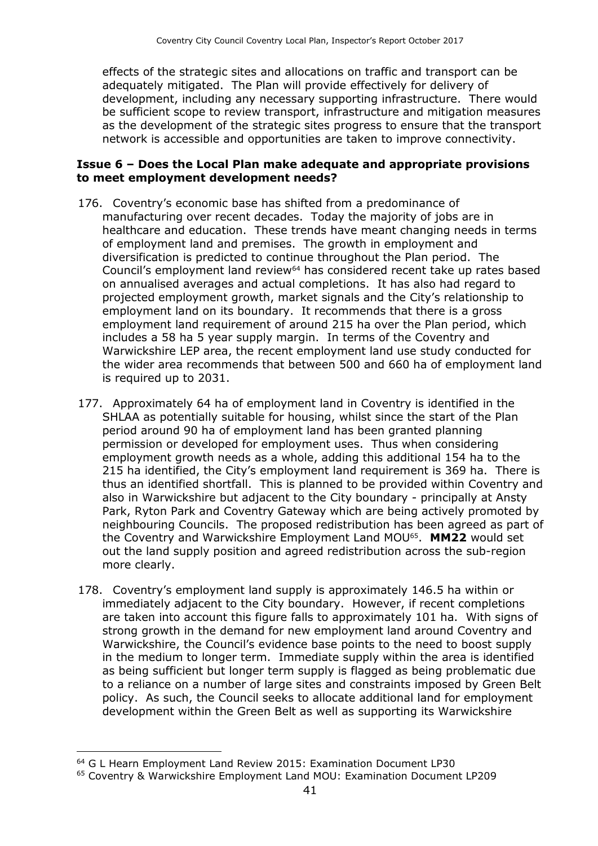effects of the strategic sites and allocations on traffic and transport can be adequately mitigated. The Plan will provide effectively for delivery of development, including any necessary supporting infrastructure. There would be sufficient scope to review transport, infrastructure and mitigation measures as the development of the strategic sites progress to ensure that the transport network is accessible and opportunities are taken to improve connectivity.

#### **Issue 6 – Does the Local Plan make adequate and appropriate provisions to meet employment development needs?**

- 176. Coventry's economic base has shifted from a predominance of manufacturing over recent decades. Today the majority of jobs are in healthcare and education. These trends have meant changing needs in terms of employment land and premises. The growth in employment and diversification is predicted to continue throughout the Plan period. The Council's employment land review<sup>64</sup> has considered recent take up rates based on annualised averages and actual completions. It has also had regard to projected employment growth, market signals and the City's relationship to employment land on its boundary. It recommends that there is a gross employment land requirement of around 215 ha over the Plan period, which includes a 58 ha 5 year supply margin. In terms of the Coventry and Warwickshire LEP area, the recent employment land use study conducted for the wider area recommends that between 500 and 660 ha of employment land is required up to 2031.
- 177. Approximately 64 ha of employment land in Coventry is identified in the SHLAA as potentially suitable for housing, whilst since the start of the Plan period around 90 ha of employment land has been granted planning permission or developed for employment uses. Thus when considering employment growth needs as a whole, adding this additional 154 ha to the 215 ha identified, the City's employment land requirement is 369 ha. There is thus an identified shortfall. This is planned to be provided within Coventry and also in Warwickshire but adjacent to the City boundary - principally at Ansty Park, Ryton Park and Coventry Gateway which are being actively promoted by neighbouring Councils. The proposed redistribution has been agreed as part of the Coventry and Warwickshire Employment Land MOU<sup>65</sup> . **MM22** would set out the land supply position and agreed redistribution across the sub-region more clearly.
- 178. Coventry's employment land supply is approximately 146.5 ha within or immediately adjacent to the City boundary. However, if recent completions are taken into account this figure falls to approximately 101 ha. With signs of strong growth in the demand for new employment land around Coventry and Warwickshire, the Council's evidence base points to the need to boost supply in the medium to longer term. Immediate supply within the area is identified as being sufficient but longer term supply is flagged as being problematic due to a reliance on a number of large sites and constraints imposed by Green Belt policy. As such, the Council seeks to allocate additional land for employment development within the Green Belt as well as supporting its Warwickshire

<sup>64</sup> G L Hearn Employment Land Review 2015: Examination Document LP30

<sup>65</sup> Coventry & Warwickshire Employment Land MOU: Examination Document LP209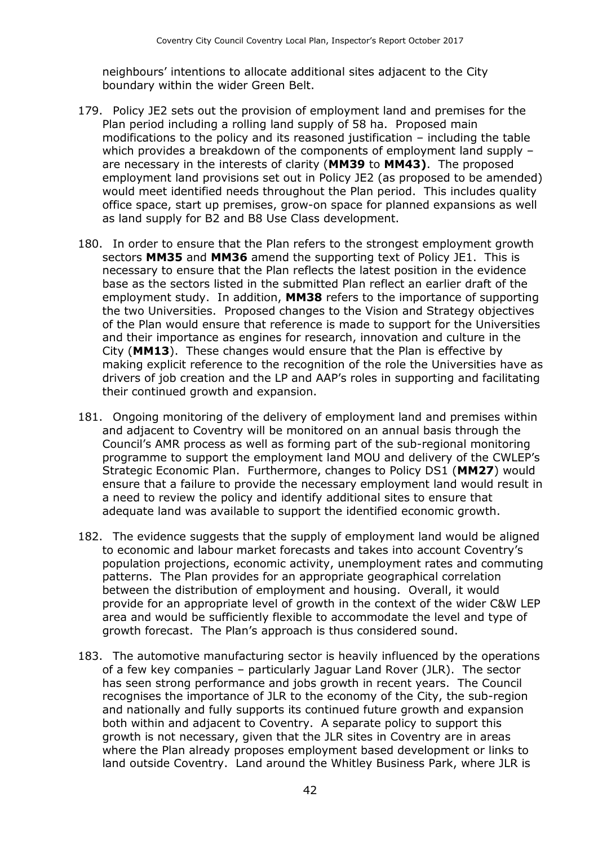neighbours' intentions to allocate additional sites adjacent to the City boundary within the wider Green Belt.

- 179. Policy JE2 sets out the provision of employment land and premises for the Plan period including a rolling land supply of 58 ha. Proposed main modifications to the policy and its reasoned justification – including the table which provides a breakdown of the components of employment land supply – are necessary in the interests of clarity (**MM39** to **MM43)**. The proposed employment land provisions set out in Policy JE2 (as proposed to be amended) would meet identified needs throughout the Plan period. This includes quality office space, start up premises, grow-on space for planned expansions as well as land supply for B2 and B8 Use Class development.
- 180. In order to ensure that the Plan refers to the strongest employment growth sectors **MM35** and **MM36** amend the supporting text of Policy JE1. This is necessary to ensure that the Plan reflects the latest position in the evidence base as the sectors listed in the submitted Plan reflect an earlier draft of the employment study. In addition, **MM38** refers to the importance of supporting the two Universities. Proposed changes to the Vision and Strategy objectives of the Plan would ensure that reference is made to support for the Universities and their importance as engines for research, innovation and culture in the City (**MM13**). These changes would ensure that the Plan is effective by making explicit reference to the recognition of the role the Universities have as drivers of job creation and the LP and AAP's roles in supporting and facilitating their continued growth and expansion.
- 181. Ongoing monitoring of the delivery of employment land and premises within and adjacent to Coventry will be monitored on an annual basis through the Council's AMR process as well as forming part of the sub-regional monitoring programme to support the employment land MOU and delivery of the CWLEP's Strategic Economic Plan. Furthermore, changes to Policy DS1 (**MM27**) would ensure that a failure to provide the necessary employment land would result in a need to review the policy and identify additional sites to ensure that adequate land was available to support the identified economic growth.
- 182. The evidence suggests that the supply of employment land would be aligned to economic and labour market forecasts and takes into account Coventry's population projections, economic activity, unemployment rates and commuting patterns. The Plan provides for an appropriate geographical correlation between the distribution of employment and housing. Overall, it would provide for an appropriate level of growth in the context of the wider C&W LEP area and would be sufficiently flexible to accommodate the level and type of growth forecast. The Plan's approach is thus considered sound.
- 183. The automotive manufacturing sector is heavily influenced by the operations of a few key companies – particularly Jaguar Land Rover (JLR). The sector has seen strong performance and jobs growth in recent years. The Council recognises the importance of JLR to the economy of the City, the sub-region and nationally and fully supports its continued future growth and expansion both within and adjacent to Coventry. A separate policy to support this growth is not necessary, given that the JLR sites in Coventry are in areas where the Plan already proposes employment based development or links to land outside Coventry. Land around the Whitley Business Park, where JLR is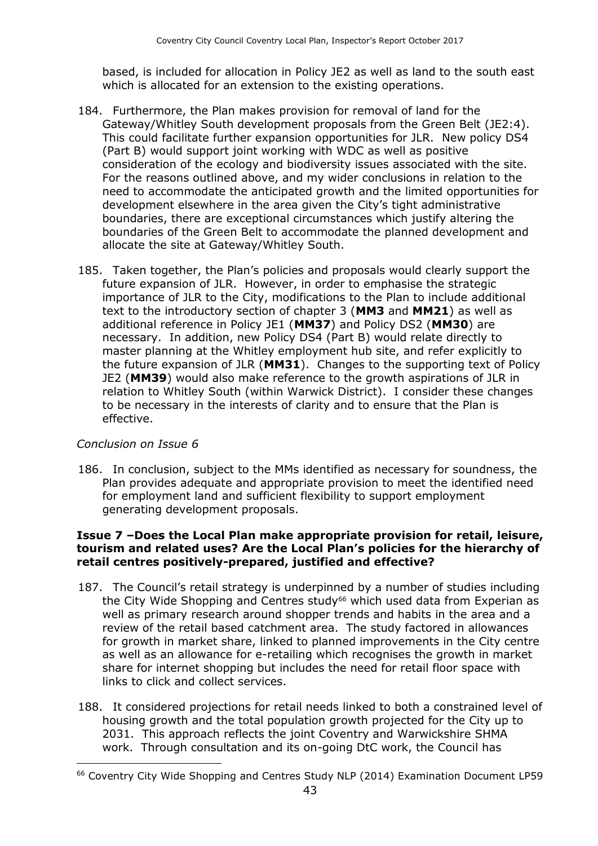based, is included for allocation in Policy JE2 as well as land to the south east which is allocated for an extension to the existing operations.

- 184. Furthermore, the Plan makes provision for removal of land for the Gateway/Whitley South development proposals from the Green Belt (JE2:4). This could facilitate further expansion opportunities for JLR. New policy DS4 (Part B) would support joint working with WDC as well as positive consideration of the ecology and biodiversity issues associated with the site. For the reasons outlined above, and my wider conclusions in relation to the need to accommodate the anticipated growth and the limited opportunities for development elsewhere in the area given the City's tight administrative boundaries, there are exceptional circumstances which justify altering the boundaries of the Green Belt to accommodate the planned development and allocate the site at Gateway/Whitley South.
- 185. Taken together, the Plan's policies and proposals would clearly support the future expansion of JLR. However, in order to emphasise the strategic importance of JLR to the City, modifications to the Plan to include additional text to the introductory section of chapter 3 (**MM3** and **MM21**) as well as additional reference in Policy JE1 (**MM37**) and Policy DS2 (**MM30**) are necessary. In addition, new Policy DS4 (Part B) would relate directly to master planning at the Whitley employment hub site, and refer explicitly to the future expansion of JLR (**MM31**). Changes to the supporting text of Policy JE2 (**MM39**) would also make reference to the growth aspirations of JLR in relation to Whitley South (within Warwick District). I consider these changes to be necessary in the interests of clarity and to ensure that the Plan is effective.

#### *Conclusion on Issue 6*

 $\overline{a}$ 

186. In conclusion, subject to the MMs identified as necessary for soundness, the Plan provides adequate and appropriate provision to meet the identified need for employment land and sufficient flexibility to support employment generating development proposals.

#### **Issue 7 –Does the Local Plan make appropriate provision for retail, leisure, tourism and related uses? Are the Local Plan's policies for the hierarchy of retail centres positively-prepared, justified and effective?**

- 187. The Council's retail strategy is underpinned by a number of studies including the City Wide Shopping and Centres study<sup>66</sup> which used data from Experian as well as primary research around shopper trends and habits in the area and a review of the retail based catchment area. The study factored in allowances for growth in market share, linked to planned improvements in the City centre as well as an allowance for e-retailing which recognises the growth in market share for internet shopping but includes the need for retail floor space with links to click and collect services.
- 188. It considered projections for retail needs linked to both a constrained level of housing growth and the total population growth projected for the City up to 2031. This approach reflects the joint Coventry and Warwickshire SHMA work. Through consultation and its on-going DtC work, the Council has

<sup>66</sup> Coventry City Wide Shopping and Centres Study NLP (2014) Examination Document LP59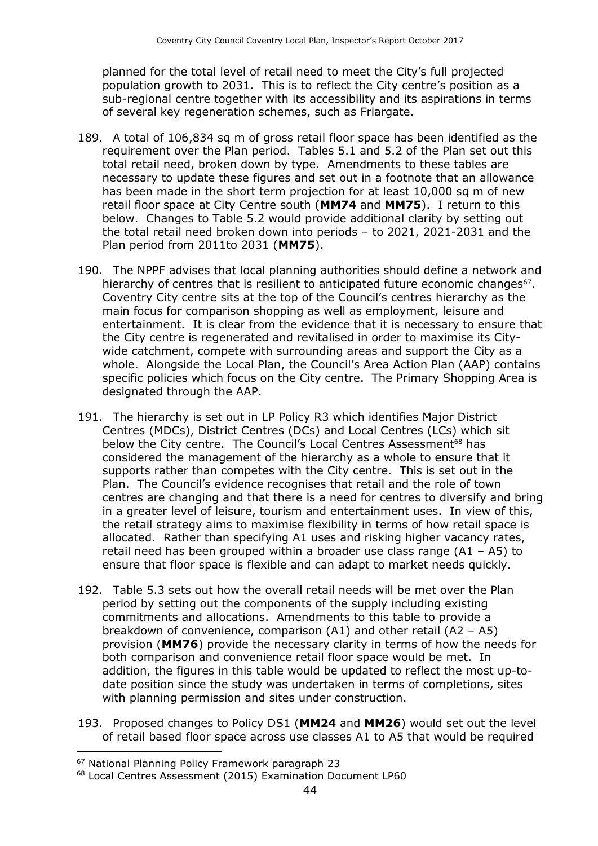planned for the total level of retail need to meet the City's full projected population growth to 2031. This is to reflect the City centre's position as a sub-regional centre together with its accessibility and its aspirations in terms of several key regeneration schemes, such as Friargate.

- 189. A total of 106,834 sq m of gross retail floor space has been identified as the requirement over the Plan period. Tables 5.1 and 5.2 of the Plan set out this total retail need, broken down by type. Amendments to these tables are necessary to update these figures and set out in a footnote that an allowance has been made in the short term projection for at least 10,000 sq m of new retail floor space at City Centre south (**MM74** and **MM75**). I return to this below. Changes to Table 5.2 would provide additional clarity by setting out the total retail need broken down into periods – to 2021, 2021-2031 and the Plan period from 2011to 2031 (**MM75**).
- 190. The NPPF advises that local planning authorities should define a network and hierarchy of centres that is resilient to anticipated future economic changes<sup>67</sup>. Coventry City centre sits at the top of the Council's centres hierarchy as the main focus for comparison shopping as well as employment, leisure and entertainment. It is clear from the evidence that it is necessary to ensure that the City centre is regenerated and revitalised in order to maximise its Citywide catchment, compete with surrounding areas and support the City as a whole. Alongside the Local Plan, the Council's Area Action Plan (AAP) contains specific policies which focus on the City centre. The Primary Shopping Area is designated through the AAP.
- 191. The hierarchy is set out in LP Policy R3 which identifies Major District Centres (MDCs), District Centres (DCs) and Local Centres (LCs) which sit below the City centre. The Council's Local Centres Assessment<sup>68</sup> has considered the management of the hierarchy as a whole to ensure that it supports rather than competes with the City centre. This is set out in the Plan. The Council's evidence recognises that retail and the role of town centres are changing and that there is a need for centres to diversify and bring in a greater level of leisure, tourism and entertainment uses. In view of this, the retail strategy aims to maximise flexibility in terms of how retail space is allocated. Rather than specifying A1 uses and risking higher vacancy rates, retail need has been grouped within a broader use class range  $(A1 - A5)$  to ensure that floor space is flexible and can adapt to market needs quickly.
- 192. Table 5.3 sets out how the overall retail needs will be met over the Plan period by setting out the components of the supply including existing commitments and allocations. Amendments to this table to provide a breakdown of convenience, comparison (A1) and other retail (A2 – A5) provision (**MM76**) provide the necessary clarity in terms of how the needs for both comparison and convenience retail floor space would be met. In addition, the figures in this table would be updated to reflect the most up-todate position since the study was undertaken in terms of completions, sites with planning permission and sites under construction.
- 193. Proposed changes to Policy DS1 (**MM24** and **MM26**) would set out the level of retail based floor space across use classes A1 to A5 that would be required

<sup>67</sup> National Planning Policy Framework paragraph 23

<sup>68</sup> Local Centres Assessment (2015) Examination Document LP60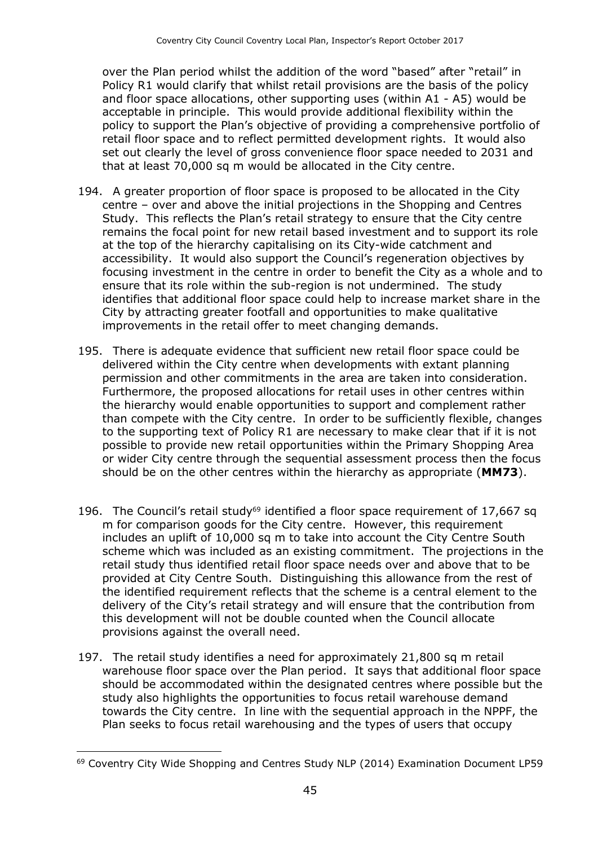over the Plan period whilst the addition of the word "based" after "retail" in Policy R1 would clarify that whilst retail provisions are the basis of the policy and floor space allocations, other supporting uses (within A1 - A5) would be acceptable in principle. This would provide additional flexibility within the policy to support the Plan's objective of providing a comprehensive portfolio of retail floor space and to reflect permitted development rights. It would also set out clearly the level of gross convenience floor space needed to 2031 and that at least 70,000 sq m would be allocated in the City centre.

- 194. A greater proportion of floor space is proposed to be allocated in the City centre – over and above the initial projections in the Shopping and Centres Study. This reflects the Plan's retail strategy to ensure that the City centre remains the focal point for new retail based investment and to support its role at the top of the hierarchy capitalising on its City-wide catchment and accessibility. It would also support the Council's regeneration objectives by focusing investment in the centre in order to benefit the City as a whole and to ensure that its role within the sub-region is not undermined. The study identifies that additional floor space could help to increase market share in the City by attracting greater footfall and opportunities to make qualitative improvements in the retail offer to meet changing demands.
- 195. There is adequate evidence that sufficient new retail floor space could be delivered within the City centre when developments with extant planning permission and other commitments in the area are taken into consideration. Furthermore, the proposed allocations for retail uses in other centres within the hierarchy would enable opportunities to support and complement rather than compete with the City centre. In order to be sufficiently flexible, changes to the supporting text of Policy R1 are necessary to make clear that if it is not possible to provide new retail opportunities within the Primary Shopping Area or wider City centre through the sequential assessment process then the focus should be on the other centres within the hierarchy as appropriate (**MM73**).
- 196. The Council's retail study<sup>69</sup> identified a floor space requirement of 17,667 sq m for comparison goods for the City centre. However, this requirement includes an uplift of 10,000 sq m to take into account the City Centre South scheme which was included as an existing commitment. The projections in the retail study thus identified retail floor space needs over and above that to be provided at City Centre South. Distinguishing this allowance from the rest of the identified requirement reflects that the scheme is a central element to the delivery of the City's retail strategy and will ensure that the contribution from this development will not be double counted when the Council allocate provisions against the overall need.
- 197. The retail study identifies a need for approximately 21,800 sq m retail warehouse floor space over the Plan period. It says that additional floor space should be accommodated within the designated centres where possible but the study also highlights the opportunities to focus retail warehouse demand towards the City centre. In line with the sequential approach in the NPPF, the Plan seeks to focus retail warehousing and the types of users that occupy

<sup>69</sup> Coventry City Wide Shopping and Centres Study NLP (2014) Examination Document LP59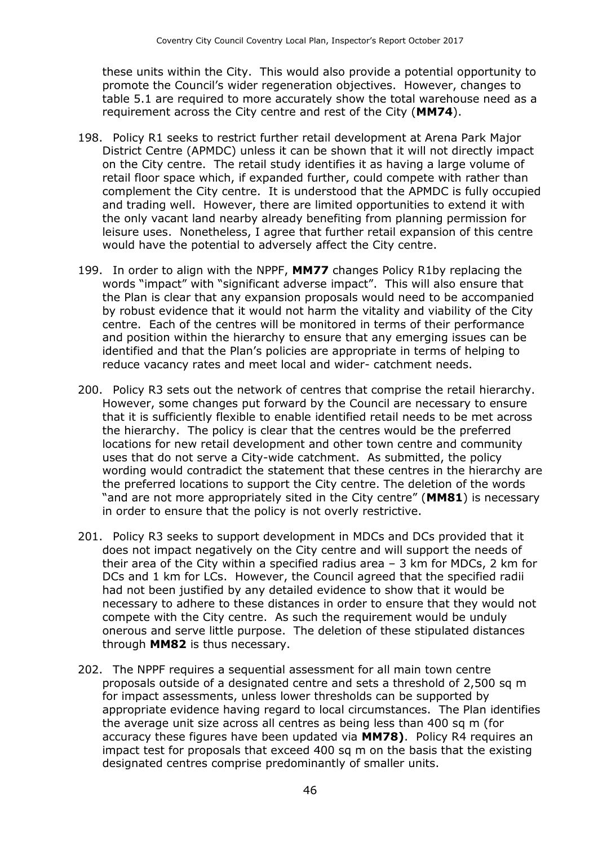these units within the City. This would also provide a potential opportunity to promote the Council's wider regeneration objectives. However, changes to table 5.1 are required to more accurately show the total warehouse need as a requirement across the City centre and rest of the City (**MM74**).

- 198. Policy R1 seeks to restrict further retail development at Arena Park Major District Centre (APMDC) unless it can be shown that it will not directly impact on the City centre. The retail study identifies it as having a large volume of retail floor space which, if expanded further, could compete with rather than complement the City centre. It is understood that the APMDC is fully occupied and trading well. However, there are limited opportunities to extend it with the only vacant land nearby already benefiting from planning permission for leisure uses. Nonetheless, I agree that further retail expansion of this centre would have the potential to adversely affect the City centre.
- 199. In order to align with the NPPF, **MM77** changes Policy R1by replacing the words "impact" with "significant adverse impact". This will also ensure that the Plan is clear that any expansion proposals would need to be accompanied by robust evidence that it would not harm the vitality and viability of the City centre. Each of the centres will be monitored in terms of their performance and position within the hierarchy to ensure that any emerging issues can be identified and that the Plan's policies are appropriate in terms of helping to reduce vacancy rates and meet local and wider- catchment needs.
- 200. Policy R3 sets out the network of centres that comprise the retail hierarchy. However, some changes put forward by the Council are necessary to ensure that it is sufficiently flexible to enable identified retail needs to be met across the hierarchy. The policy is clear that the centres would be the preferred locations for new retail development and other town centre and community uses that do not serve a City-wide catchment. As submitted, the policy wording would contradict the statement that these centres in the hierarchy are the preferred locations to support the City centre. The deletion of the words "and are not more appropriately sited in the City centre" (**MM81**) is necessary in order to ensure that the policy is not overly restrictive.
- 201. Policy R3 seeks to support development in MDCs and DCs provided that it does not impact negatively on the City centre and will support the needs of their area of the City within a specified radius area – 3 km for MDCs, 2 km for DCs and 1 km for LCs. However, the Council agreed that the specified radii had not been justified by any detailed evidence to show that it would be necessary to adhere to these distances in order to ensure that they would not compete with the City centre. As such the requirement would be unduly onerous and serve little purpose. The deletion of these stipulated distances through **MM82** is thus necessary.
- 202. The NPPF requires a sequential assessment for all main town centre proposals outside of a designated centre and sets a threshold of 2,500 sq m for impact assessments, unless lower thresholds can be supported by appropriate evidence having regard to local circumstances. The Plan identifies the average unit size across all centres as being less than 400 sq m (for accuracy these figures have been updated via **MM78)**. Policy R4 requires an impact test for proposals that exceed 400 sq m on the basis that the existing designated centres comprise predominantly of smaller units.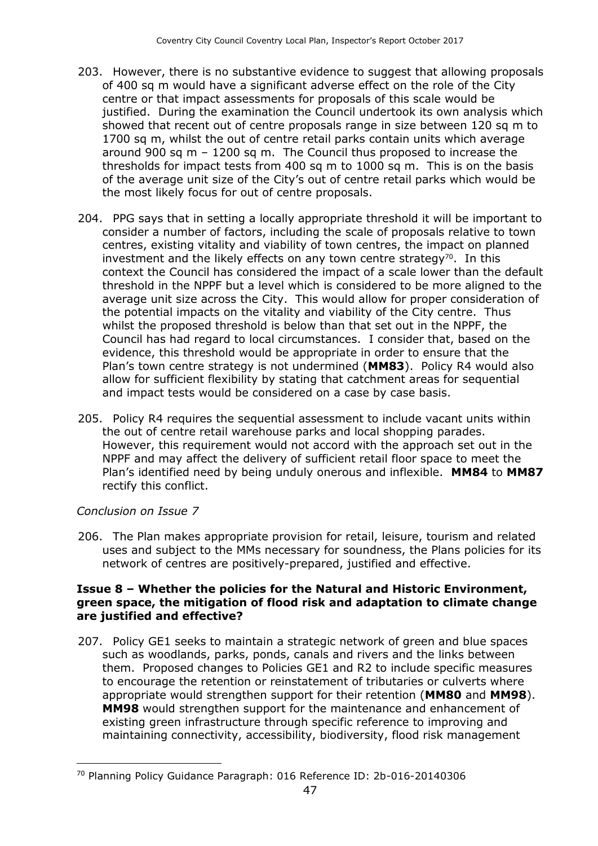- 203. However, there is no substantive evidence to suggest that allowing proposals of 400 sq m would have a significant adverse effect on the role of the City centre or that impact assessments for proposals of this scale would be justified. During the examination the Council undertook its own analysis which showed that recent out of centre proposals range in size between 120 sq m to 1700 sq m, whilst the out of centre retail parks contain units which average around 900 sq m – 1200 sq m. The Council thus proposed to increase the thresholds for impact tests from 400 sq m to 1000 sq m. This is on the basis of the average unit size of the City's out of centre retail parks which would be the most likely focus for out of centre proposals.
- 204. PPG says that in setting a locally appropriate threshold it will be important to consider a number of factors, including the scale of proposals relative to town centres, existing vitality and viability of town centres, the impact on planned investment and the likely effects on any town centre strategy $70$ . In this context the Council has considered the impact of a scale lower than the default threshold in the NPPF but a level which is considered to be more aligned to the average unit size across the City. This would allow for proper consideration of the potential impacts on the vitality and viability of the City centre. Thus whilst the proposed threshold is below than that set out in the NPPF, the Council has had regard to local circumstances. I consider that, based on the evidence, this threshold would be appropriate in order to ensure that the Plan's town centre strategy is not undermined (**MM83**). Policy R4 would also allow for sufficient flexibility by stating that catchment areas for sequential and impact tests would be considered on a case by case basis.
- 205. Policy R4 requires the sequential assessment to include vacant units within the out of centre retail warehouse parks and local shopping parades. However, this requirement would not accord with the approach set out in the NPPF and may affect the delivery of sufficient retail floor space to meet the Plan's identified need by being unduly onerous and inflexible. **MM84** to **MM87** rectify this conflict.

#### *Conclusion on Issue 7*

 $\overline{a}$ 

206. The Plan makes appropriate provision for retail, leisure, tourism and related uses and subject to the MMs necessary for soundness, the Plans policies for its network of centres are positively-prepared, justified and effective.

#### **Issue 8 – Whether the policies for the Natural and Historic Environment, green space, the mitigation of flood risk and adaptation to climate change are justified and effective?**

207. Policy GE1 seeks to maintain a strategic network of green and blue spaces such as woodlands, parks, ponds, canals and rivers and the links between them. Proposed changes to Policies GE1 and R2 to include specific measures to encourage the retention or reinstatement of tributaries or culverts where appropriate would strengthen support for their retention (**MM80** and **MM98**). **MM98** would strengthen support for the maintenance and enhancement of existing green infrastructure through specific reference to improving and maintaining connectivity, accessibility, biodiversity, flood risk management

<sup>70</sup> Planning Policy Guidance Paragraph: 016 Reference ID: 2b-016-20140306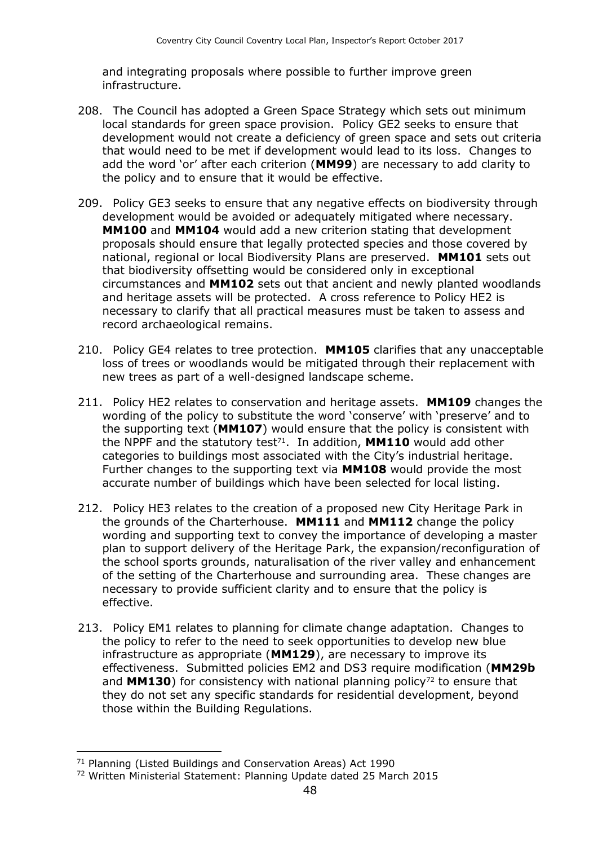and integrating proposals where possible to further improve green infrastructure.

- 208. The Council has adopted a Green Space Strategy which sets out minimum local standards for green space provision. Policy GE2 seeks to ensure that development would not create a deficiency of green space and sets out criteria that would need to be met if development would lead to its loss. Changes to add the word 'or' after each criterion (**MM99**) are necessary to add clarity to the policy and to ensure that it would be effective.
- 209. Policy GE3 seeks to ensure that any negative effects on biodiversity through development would be avoided or adequately mitigated where necessary. **MM100** and **MM104** would add a new criterion stating that development proposals should ensure that legally protected species and those covered by national, regional or local Biodiversity Plans are preserved. **MM101** sets out that biodiversity offsetting would be considered only in exceptional circumstances and **MM102** sets out that ancient and newly planted woodlands and heritage assets will be protected. A cross reference to Policy HE2 is necessary to clarify that all practical measures must be taken to assess and record archaeological remains.
- 210. Policy GE4 relates to tree protection. **MM105** clarifies that any unacceptable loss of trees or woodlands would be mitigated through their replacement with new trees as part of a well-designed landscape scheme.
- 211. Policy HE2 relates to conservation and heritage assets. **MM109** changes the wording of the policy to substitute the word 'conserve' with 'preserve' and to the supporting text (**MM107**) would ensure that the policy is consistent with the NPPF and the statutory test<sup>71</sup>. In addition, MM110 would add other categories to buildings most associated with the City's industrial heritage. Further changes to the supporting text via **MM108** would provide the most accurate number of buildings which have been selected for local listing.
- 212. Policy HE3 relates to the creation of a proposed new City Heritage Park in the grounds of the Charterhouse. **MM111** and **MM112** change the policy wording and supporting text to convey the importance of developing a master plan to support delivery of the Heritage Park, the expansion/reconfiguration of the school sports grounds, naturalisation of the river valley and enhancement of the setting of the Charterhouse and surrounding area. These changes are necessary to provide sufficient clarity and to ensure that the policy is effective.
- 213. Policy EM1 relates to planning for climate change adaptation. Changes to the policy to refer to the need to seek opportunities to develop new blue infrastructure as appropriate (**MM129**), are necessary to improve its effectiveness. Submitted policies EM2 and DS3 require modification (**MM29b** and **MM130**) for consistency with national planning policy<sup>72</sup> to ensure that they do not set any specific standards for residential development, beyond those within the Building Regulations.

<sup>71</sup> Planning (Listed Buildings and Conservation Areas) Act 1990

<sup>72</sup> Written Ministerial Statement: Planning Update dated 25 March 2015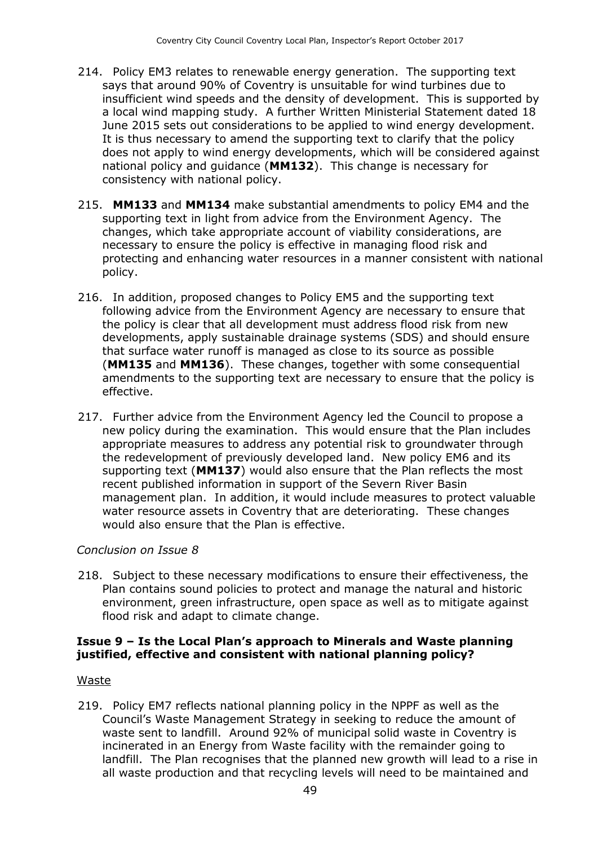- 214. Policy EM3 relates to renewable energy generation. The supporting text says that around 90% of Coventry is unsuitable for wind turbines due to insufficient wind speeds and the density of development. This is supported by a local wind mapping study. A further Written Ministerial Statement dated 18 June 2015 sets out considerations to be applied to wind energy development. It is thus necessary to amend the supporting text to clarify that the policy does not apply to wind energy developments, which will be considered against national policy and guidance (**MM132**). This change is necessary for consistency with national policy.
- 215. **MM133** and **MM134** make substantial amendments to policy EM4 and the supporting text in light from advice from the Environment Agency. The changes, which take appropriate account of viability considerations, are necessary to ensure the policy is effective in managing flood risk and protecting and enhancing water resources in a manner consistent with national policy.
- 216. In addition, proposed changes to Policy EM5 and the supporting text following advice from the Environment Agency are necessary to ensure that the policy is clear that all development must address flood risk from new developments, apply sustainable drainage systems (SDS) and should ensure that surface water runoff is managed as close to its source as possible (**MM135** and **MM136**). These changes, together with some consequential amendments to the supporting text are necessary to ensure that the policy is effective.
- 217. Further advice from the Environment Agency led the Council to propose a new policy during the examination. This would ensure that the Plan includes appropriate measures to address any potential risk to groundwater through the redevelopment of previously developed land. New policy EM6 and its supporting text (**MM137**) would also ensure that the Plan reflects the most recent published information in support of the Severn River Basin management plan. In addition, it would include measures to protect valuable water resource assets in Coventry that are deteriorating. These changes would also ensure that the Plan is effective.

#### *Conclusion on Issue 8*

218. Subject to these necessary modifications to ensure their effectiveness, the Plan contains sound policies to protect and manage the natural and historic environment, green infrastructure, open space as well as to mitigate against flood risk and adapt to climate change.

#### **Issue 9 – Is the Local Plan's approach to Minerals and Waste planning justified, effective and consistent with national planning policy?**

#### Waste

219. Policy EM7 reflects national planning policy in the NPPF as well as the Council's Waste Management Strategy in seeking to reduce the amount of waste sent to landfill. Around 92% of municipal solid waste in Coventry is incinerated in an Energy from Waste facility with the remainder going to landfill. The Plan recognises that the planned new growth will lead to a rise in all waste production and that recycling levels will need to be maintained and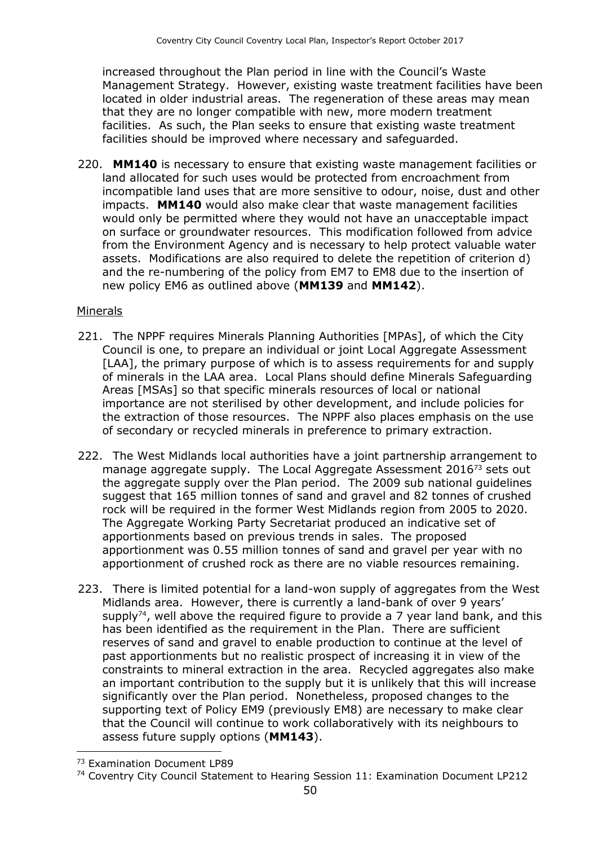increased throughout the Plan period in line with the Council's Waste Management Strategy. However, existing waste treatment facilities have been located in older industrial areas. The regeneration of these areas may mean that they are no longer compatible with new, more modern treatment facilities. As such, the Plan seeks to ensure that existing waste treatment facilities should be improved where necessary and safeguarded.

220. **MM140** is necessary to ensure that existing waste management facilities or land allocated for such uses would be protected from encroachment from incompatible land uses that are more sensitive to odour, noise, dust and other impacts. **MM140** would also make clear that waste management facilities would only be permitted where they would not have an unacceptable impact on surface or groundwater resources. This modification followed from advice from the Environment Agency and is necessary to help protect valuable water assets. Modifications are also required to delete the repetition of criterion d) and the re-numbering of the policy from EM7 to EM8 due to the insertion of new policy EM6 as outlined above (**MM139** and **MM142**).

#### Minerals

- 221. The NPPF requires Minerals Planning Authorities [MPAs], of which the City Council is one, to prepare an individual or joint Local Aggregate Assessment [LAA], the primary purpose of which is to assess requirements for and supply of minerals in the LAA area. Local Plans should define Minerals Safeguarding Areas [MSAs] so that specific minerals resources of local or national importance are not sterilised by other development, and include policies for the extraction of those resources. The NPPF also places emphasis on the use of secondary or recycled minerals in preference to primary extraction.
- 222. The West Midlands local authorities have a joint partnership arrangement to manage aggregate supply. The Local Aggregate Assessment 2016<sup>73</sup> sets out the aggregate supply over the Plan period. The 2009 sub national guidelines suggest that 165 million tonnes of sand and gravel and 82 tonnes of crushed rock will be required in the former West Midlands region from 2005 to 2020. The Aggregate Working Party Secretariat produced an indicative set of apportionments based on previous trends in sales. The proposed apportionment was 0.55 million tonnes of sand and gravel per year with no apportionment of crushed rock as there are no viable resources remaining.
- 223. There is limited potential for a land-won supply of aggregates from the West Midlands area. However, there is currently a land-bank of over 9 years' supply<sup>74</sup>, well above the required figure to provide a 7 year land bank, and this has been identified as the requirement in the Plan. There are sufficient reserves of sand and gravel to enable production to continue at the level of past apportionments but no realistic prospect of increasing it in view of the constraints to mineral extraction in the area. Recycled aggregates also make an important contribution to the supply but it is unlikely that this will increase significantly over the Plan period. Nonetheless, proposed changes to the supporting text of Policy EM9 (previously EM8) are necessary to make clear that the Council will continue to work collaboratively with its neighbours to assess future supply options (**MM143**).

<sup>73</sup> Examination Document LP89

<sup>74</sup> Coventry City Council Statement to Hearing Session 11: Examination Document LP212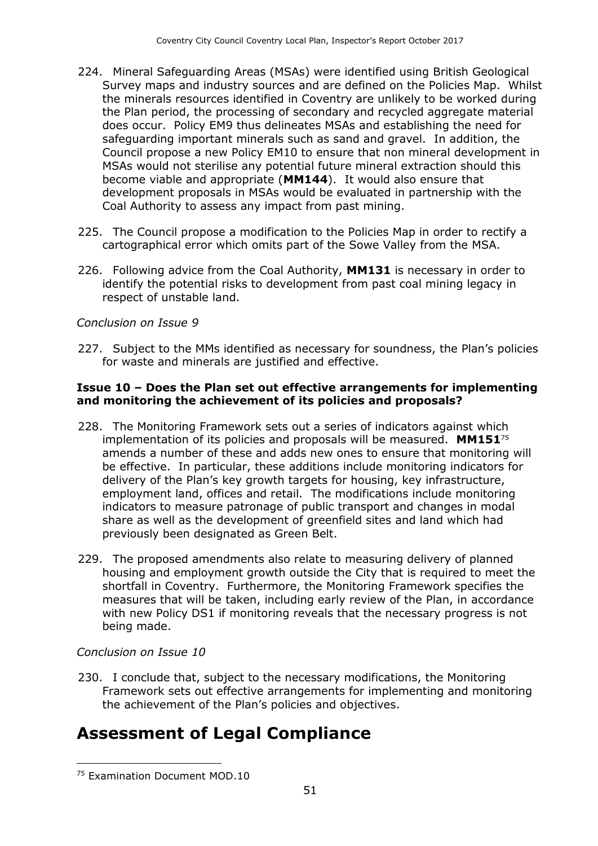- 224. Mineral Safeguarding Areas (MSAs) were identified using British Geological Survey maps and industry sources and are defined on the Policies Map. Whilst the minerals resources identified in Coventry are unlikely to be worked during the Plan period, the processing of secondary and recycled aggregate material does occur. Policy EM9 thus delineates MSAs and establishing the need for safeguarding important minerals such as sand and gravel. In addition, the Council propose a new Policy EM10 to ensure that non mineral development in MSAs would not sterilise any potential future mineral extraction should this become viable and appropriate (**MM144**). It would also ensure that development proposals in MSAs would be evaluated in partnership with the Coal Authority to assess any impact from past mining.
- 225. The Council propose a modification to the Policies Map in order to rectify a cartographical error which omits part of the Sowe Valley from the MSA.
- 226. Following advice from the Coal Authority, **MM131** is necessary in order to identify the potential risks to development from past coal mining legacy in respect of unstable land.

#### *Conclusion on Issue 9*

227. Subject to the MMs identified as necessary for soundness, the Plan's policies for waste and minerals are justified and effective.

#### **Issue 10 – Does the Plan set out effective arrangements for implementing and monitoring the achievement of its policies and proposals?**

- 228. The Monitoring Framework sets out a series of indicators against which implementation of its policies and proposals will be measured. **MM151**<sup>75</sup> amends a number of these and adds new ones to ensure that monitoring will be effective. In particular, these additions include monitoring indicators for delivery of the Plan's key growth targets for housing, key infrastructure, employment land, offices and retail. The modifications include monitoring indicators to measure patronage of public transport and changes in modal share as well as the development of greenfield sites and land which had previously been designated as Green Belt.
- 229. The proposed amendments also relate to measuring delivery of planned housing and employment growth outside the City that is required to meet the shortfall in Coventry. Furthermore, the Monitoring Framework specifies the measures that will be taken, including early review of the Plan, in accordance with new Policy DS1 if monitoring reveals that the necessary progress is not being made.

#### *Conclusion on Issue 10*

 $\overline{a}$ 

230. I conclude that, subject to the necessary modifications, the Monitoring Framework sets out effective arrangements for implementing and monitoring the achievement of the Plan's policies and objectives.

## **Assessment of Legal Compliance**

<sup>75</sup> Examination Document MOD.10